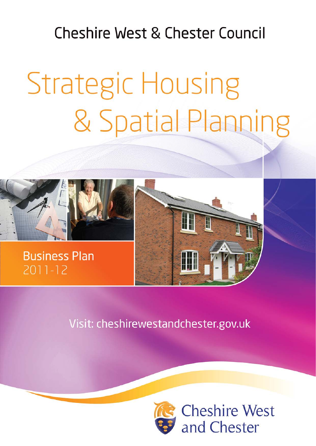# **Cheshire West & Chester Council**

# **Strategic Housing** & Spatial Planning



# Visit: cheshirewestandchester.gov.uk



**Cheshire West** and Chester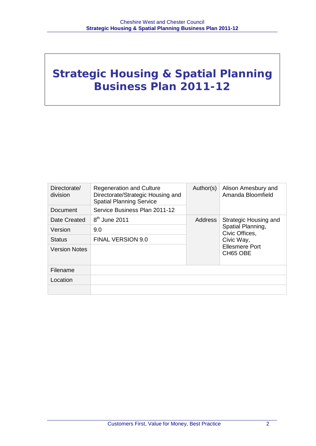# **Strategic Housing & Spatial Planning Business Plan 2011-12**

| Directorate/<br>division | <b>Regeneration and Culture</b><br>Directorate/Strategic Housing and<br><b>Spatial Planning Service</b> | Author(s) | Alison Amesbury and<br>Amanda Bloomfield          |  |
|--------------------------|---------------------------------------------------------------------------------------------------------|-----------|---------------------------------------------------|--|
| Document                 | Service Business Plan 2011-12                                                                           |           |                                                   |  |
| Date Created             | $8th$ June 2011                                                                                         | Address   | Strategic Housing and                             |  |
| Version                  | 9.0                                                                                                     |           | Spatial Planning,<br>Civic Offices.<br>Civic Way, |  |
| <b>Status</b>            | <b>FINAL VERSION 9.0</b>                                                                                |           |                                                   |  |
| <b>Version Notes</b>     |                                                                                                         |           | <b>Ellesmere Port</b><br>CH65 OBE                 |  |
| Filename                 |                                                                                                         |           |                                                   |  |
| Location                 |                                                                                                         |           |                                                   |  |
|                          |                                                                                                         |           |                                                   |  |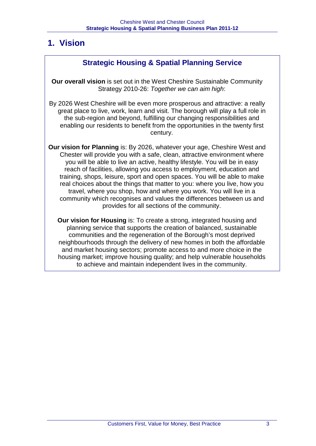# **1. Vision**

## **Strategic Housing & Spatial Planning Service**

**Our overall vision** is set out in the West Cheshire Sustainable Community Strategy 2010-26: *Together we can aim high*:

By 2026 West Cheshire will be even more prosperous and attractive: a really great place to live, work, learn and visit. The borough will play a full role in the sub-region and beyond, fulfilling our changing responsibilities and enabling our residents to benefit from the opportunities in the twenty first century.

**Our vision for Planning** is: By 2026, whatever your age, Cheshire West and Chester will provide you with a safe, clean, attractive environment where you will be able to live an active, healthy lifestyle. You will be in easy reach of facilities, allowing you access to employment, education and training, shops, leisure, sport and open spaces. You will be able to make real choices about the things that matter to you: where you live, how you travel, where you shop, how and where you work. You will live in a community which recognises and values the differences between us and provides for all sections of the community.

**Our vision for Housing** is: To create a strong, integrated housing and planning service that supports the creation of balanced, sustainable communities and the regeneration of the Borough's most deprived neighbourhoods through the delivery of new homes in both the affordable and market housing sectors; promote access to and more choice in the housing market; improve housing quality; and help vulnerable households to achieve and maintain independent lives in the community.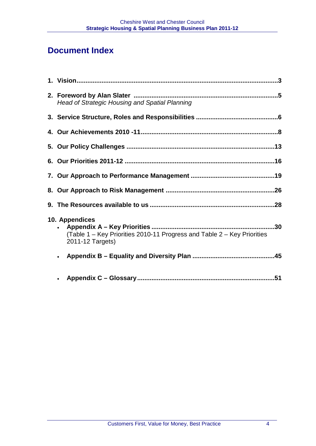# **Document Index**

| Head of Strategic Housing and Spatial Planning                                                                      |  |
|---------------------------------------------------------------------------------------------------------------------|--|
|                                                                                                                     |  |
|                                                                                                                     |  |
|                                                                                                                     |  |
|                                                                                                                     |  |
|                                                                                                                     |  |
|                                                                                                                     |  |
|                                                                                                                     |  |
| 10. Appendices<br>30<br>(Table 1 – Key Priorities 2010-11 Progress and Table 2 – Key Priorities<br>2011-12 Targets) |  |
| $\bullet$                                                                                                           |  |
| $\bullet$                                                                                                           |  |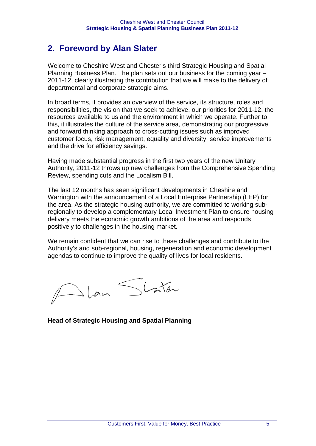# **2. Foreword by Alan Slater**

Welcome to Cheshire West and Chester's third Strategic Housing and Spatial Planning Business Plan. The plan sets out our business for the coming year – 2011-12, clearly illustrating the contribution that we will make to the delivery of departmental and corporate strategic aims.

In broad terms, it provides an overview of the service, its structure, roles and responsibilities, the vision that we seek to achieve, our priorities for 2011-12, the resources available to us and the environment in which we operate. Further to this, it illustrates the culture of the service area, demonstrating our progressive and forward thinking approach to cross-cutting issues such as improved customer focus, risk management, equality and diversity, service improvements and the drive for efficiency savings.

Having made substantial progress in the first two years of the new Unitary Authority, 2011-12 throws up new challenges from the Comprehensive Spending Review, spending cuts and the Localism Bill.

The last 12 months has seen significant developments in Cheshire and Warrington with the announcement of a Local Enterprise Partnership (LEP) for the area. As the strategic housing authority, we are committed to working subregionally to develop a complementary Local Investment Plan to ensure housing delivery meets the economic growth ambitions of the area and responds positively to challenges in the housing market.

We remain confident that we can rise to these challenges and contribute to the Authority's and sub-regional, housing, regeneration and economic development agendas to continue to improve the quality of lives for local residents.

Jlan Shater

**Head of Strategic Housing and Spatial Planning**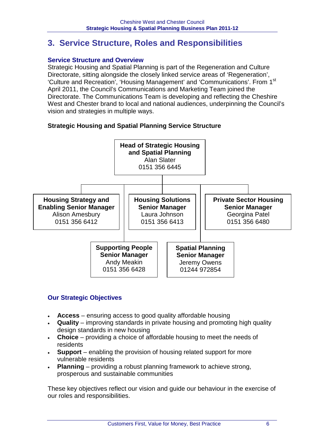# **3. Service Structure, Roles and Responsibilities**

#### **Service Structure and Overview**

Strategic Housing and Spatial Planning is part of the Regeneration and Culture Directorate, sitting alongside the closely linked service areas of 'Regeneration', 'Culture and Recreation', 'Housing Management' and 'Communications'. From 1st April 2011, the Council's Communications and Marketing Team joined the Directorate. The Communications Team is developing and reflecting the Cheshire West and Chester brand to local and national audiences, underpinning the Council's vision and strategies in multiple ways.

#### **Strategic Housing and Spatial Planning Service Structure**



#### **Our Strategic Objectives**

- **Access** ensuring access to good quality affordable housing
- **Quality**  improving standards in private housing and promoting high quality design standards in new housing
- **Choice** providing a choice of affordable housing to meet the needs of residents
- **Support**  enabling the provision of housing related support for more vulnerable residents
- **Planning** providing a robust planning framework to achieve strong, prosperous and sustainable communities

These key objectives reflect our vision and guide our behaviour in the exercise of our roles and responsibilities.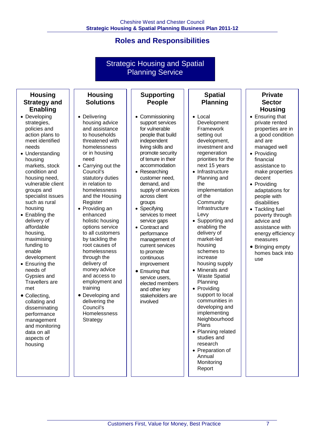# **Roles and Responsibilities**

#### Strategic Housing and Spatial Planning Service

#### **Housing Strategy and Enabling**

- Developing strategies, policies and action plans to meet identified needs
- Understanding housing markets, stock condition and housing need, vulnerable client groups and specialist issues such as rural housing
- Enabling the delivery of affordable housing, maximising funding to enable development
- Ensuring the needs of Gypsies and Travellers are met
- Collecting, collating and disseminating performance management and monitoring data on all aspects of housing

#### **Supporting People**

**Housing Solutions**

• Delivering housing advice and assistance to households threatened with homelessness or in housing

need

Register • Providing an enhanced holistic housing options service to all customers by tackling the root causes of homelessness through the delivery of money advice and access to employment and

training

• Developing and delivering the Council's **Homelessness Strategy** 

• Carrying out the Council's statutory duties in relation to homelessness and the Housing

- Commissioning support services for vulnerable people that build independent living skills and promote security of tenure in their accommodation
- Researching customer need, demand, and supply of services across client groups
- Specifying services to meet service gaps
- Contract and performance management of current services to promote continuous improvement
- Ensuring that service users, elected members and other key stakeholders are involved

#### **Spatial Planning**

- Local Development Framework setting out development, investment and regeneration priorities for the next 15 years
- Infrastructure Planning and the implementation of the **Community** Infrastructure Levy
- Supporting and enabling the delivery of market-led housing schemes to increase housing supply
- Minerals and Waste Spatial Planning
- Providing support to local communities in developing and implementing Neighbourhood Plans
- Planning related studies and research
- Preparation of Annual **Monitoring** Report

#### **Private Sector Housing**

- Ensuring that private rented properties are in a good condition and are managed well
- Providing financial assistance to make properties decent
- Providing adaptations for people with disabilities
- Tackling fuel poverty through advice and assistance with energy efficiency measures
- Bringing empty homes back into use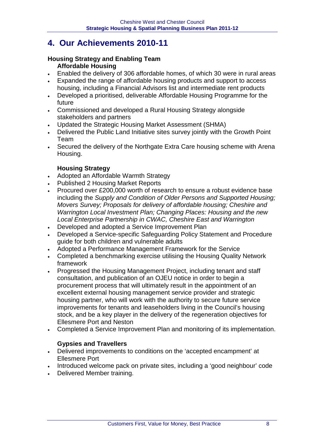# **4. Our Achievements 2010-11**

#### **Housing Strategy and Enabling Team Affordable Housing**

- Enabled the delivery of 306 affordable homes, of which 30 were in rural areas
- Expanded the range of affordable housing products and support to access housing, including a Financial Advisors list and intermediate rent products
- Developed a prioritised, deliverable Affordable Housing Programme for the future
- Commissioned and developed a Rural Housing Strategy alongside stakeholders and partners
- Updated the Strategic Housing Market Assessment (SHMA)
- Delivered the Public Land Initiative sites survey jointly with the Growth Point Team
- Secured the delivery of the Northgate Extra Care housing scheme with Arena Housing.

#### **Housing Strategy**

- Adopted an Affordable Warmth Strategy
- Published 2 Housing Market Reports
- Procured over £200,000 worth of research to ensure a robust evidence base including the *Supply and Condition of Older Persons and Supported Housing; Movers Survey; Proposals for delivery of affordable housing; Cheshire and Warrington Local Investment Plan; Changing Places: Housing and the new Local Enterprise Partnership in CWAC, Cheshire East and Warrington*
- Developed and adopted a Service Improvement Plan<br>• Developed a Service-specific Safequarding Policy Sta
- Developed a Service-specific Safeguarding Policy Statement and Procedure guide for both children and vulnerable adults
- Adopted a Performance Management Framework for the Service
- Completed a benchmarking exercise utilising the Housing Quality Network framework
- Progressed the Housing Management Project, including tenant and staff consultation, and publication of an OJEU notice in order to begin a procurement process that will ultimately result in the appointment of an excellent external housing management service provider and strategic housing partner, who will work with the authority to secure future service improvements for tenants and leaseholders living in the Council's housing stock, and be a key player in the delivery of the regeneration objectives for Ellesmere Port and Neston
- Completed a Service Improvement Plan and monitoring of its implementation.

#### **Gypsies and Travellers**

- Delivered improvements to conditions on the 'accepted encampment' at Ellesmere Port
- Introduced welcome pack on private sites, including a 'good neighbour' code
- Delivered Member training.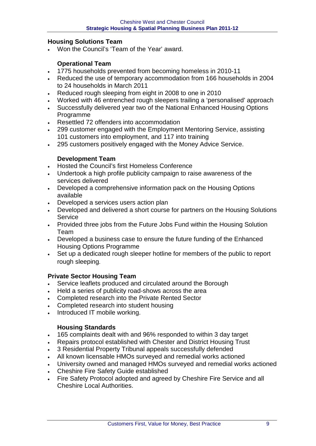#### **Housing Solutions Team**

• Won the Council's 'Team of the Year' award.

#### **Operational Team**

- 1775 households prevented from becoming homeless in 2010-11
- Reduced the use of temporary accommodation from 166 households in 2004 to 24 households in March 2011
- Reduced rough sleeping from eight in 2008 to one in 2010
- Worked with 46 entrenched rough sleepers trailing a 'personalised' approach
- Successfully delivered year two of the National Enhanced Housing Options Programme
- Resettled 72 offenders into accommodation
- 299 customer engaged with the Employment Mentoring Service, assisting 101 customers into employment, and 117 into training
- 295 customers positively engaged with the Money Advice Service.

#### **Development Team**

- Hosted the Council's first Homeless Conference
- Undertook a high profile publicity campaign to raise awareness of the services delivered
- Developed a comprehensive information pack on the Housing Options available
- Developed a services users action plan
- Developed and delivered a short course for partners on the Housing Solutions **Service**
- Provided three jobs from the Future Jobs Fund within the Housing Solution Team
- Developed a business case to ensure the future funding of the Enhanced Housing Options Programme
- Set up a dedicated rough sleeper hotline for members of the public to report rough sleeping.

#### **Private Sector Housing Team**

- Service leaflets produced and circulated around the Borough
- Held a series of publicity road-shows across the area
- Completed research into the Private Rented Sector
- Completed research into student housing
- Introduced IT mobile working.

#### **Housing Standards**

- 165 complaints dealt with and 96% responded to within 3 day target
- Repairs protocol established with Chester and District Housing Trust
- 3 Residential Property Tribunal appeals successfully defended
- All known licensable HMOs surveyed and remedial works actioned
- University owned and managed HMOs surveyed and remedial works actioned
- Cheshire Fire Safety Guide established
- Fire Safety Protocol adopted and agreed by Cheshire Fire Service and all Cheshire Local Authorities.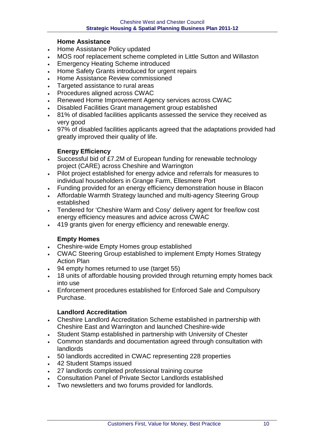#### **Home Assistance**

- Home Assistance Policy updated
- MOS roof replacement scheme completed in Little Sutton and Willaston
- Emergency Heating Scheme introduced
- Home Safety Grants introduced for urgent repairs
- Home Assistance Review commissioned
- Targeted assistance to rural areas
- Procedures aligned across CWAC
- Renewed Home Improvement Agency services across CWAC
- Disabled Facilities Grant management group established
- 81% of disabled facilities applicants assessed the service they received as very good
- 97% of disabled facilities applicants agreed that the adaptations provided had greatly improved their quality of life.

#### **Energy Efficiency**

- Successful bid of £7.2M of European funding for renewable technology project (CARE) across Cheshire and Warrington
- Pilot project established for energy advice and referrals for measures to individual householders in Grange Farm, Ellesmere Port
- Funding provided for an energy efficiency demonstration house in Blacon
- Affordable Warmth Strategy launched and multi-agency Steering Group established
- Tendered for 'Cheshire Warm and Cosy' delivery agent for free/low cost energy efficiency measures and advice across CWAC
- 419 grants given for energy efficiency and renewable energy.

#### **Empty Homes**

- Cheshire-wide Empty Homes group established
- CWAC Steering Group established to implement Empty Homes Strategy Action Plan
- 94 empty homes returned to use (target 55)
- 18 units of affordable housing provided through returning empty homes back into use
- Enforcement procedures established for Enforced Sale and Compulsory Purchase.

#### **Landlord Accreditation**

- Cheshire Landlord Accreditation Scheme established in partnership with Cheshire East and Warrington and launched Cheshire-wide
- Student Stamp established in partnership with University of Chester
- Common standards and documentation agreed through consultation with landlords
- 50 landlords accredited in CWAC representing 228 properties
- 42 Student Stamps issued
- 27 landlords completed professional training course
- Consultation Panel of Private Sector Landlords established
- Two newsletters and two forums provided for landlords.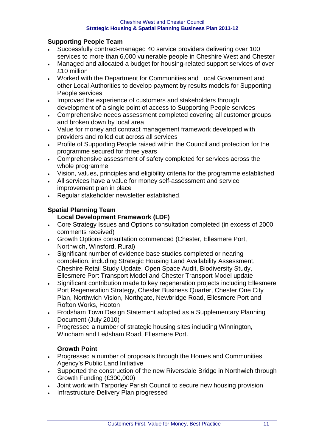#### **Supporting People Team**

- Successfully contract-managed 40 service providers delivering over 100 services to more than 6,000 vulnerable people in Cheshire West and Chester
- Managed and allocated a budget for housing-related support services of over £10 million
- Worked with the Department for Communities and Local Government and other Local Authorities to develop payment by results models for Supporting People services
- Improved the experience of customers and stakeholders through development of a single point of access to Supporting People services
- Comprehensive needs assessment completed covering all customer groups and broken down by local area
- Value for money and contract management framework developed with providers and rolled out across all services
- Profile of Supporting People raised within the Council and protection for the programme secured for three years
- Comprehensive assessment of safety completed for services across the whole programme
- Vision, values, principles and eligibility criteria for the programme established
- All services have a value for money self-assessment and service improvement plan in place
- Regular stakeholder newsletter established.

#### **Spatial Planning Team**

#### **Local Development Framework (LDF)**

- Core Strategy Issues and Options consultation completed (in excess of 2000 comments received)
- Growth Options consultation commenced (Chester, Ellesmere Port, Northwich, Winsford, Rural)
- Significant number of evidence base studies completed or nearing completion, including Strategic Housing Land Availability Assessment, Cheshire Retail Study Update, Open Space Audit, Biodiversity Study, Ellesmere Port Transport Model and Chester Transport Model update
- Significant contribution made to key regeneration projects including Ellesmere Port Regeneration Strategy, Chester Business Quarter, Chester One City Plan, Northwich Vision, Northgate, Newbridge Road, Ellesmere Port and Rofton Works, Hooton
- Frodsham Town Design Statement adopted as a Supplementary Planning Document (July 2010)
- Progressed a number of strategic housing sites including Winnington, Wincham and Ledsham Road, Ellesmere Port.

#### **Growth Point**

- Progressed a number of proposals through the Homes and Communities Agency's Public Land Initiative
- Supported the construction of the new Riversdale Bridge in Northwich through Growth Funding (£300,000)
- Joint work with Tarporley Parish Council to secure new housing provision
- Infrastructure Delivery Plan progressed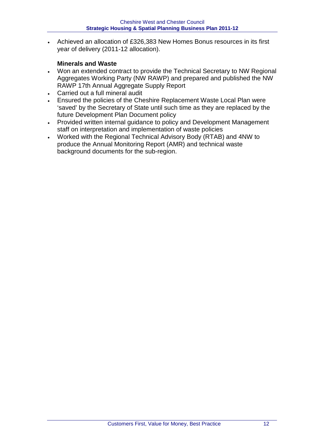• Achieved an allocation of £326,383 New Homes Bonus resources in its first year of delivery (2011-12 allocation).

#### **Minerals and Waste**

- Won an extended contract to provide the Technical Secretary to NW Regional Aggregates Working Party (NW RAWP) and prepared and published the NW RAWP 17th Annual Aggregate Supply Report
- Carried out a full mineral audit
- Ensured the policies of the Cheshire Replacement Waste Local Plan were 'saved' by the Secretary of State until such time as they are replaced by the future Development Plan Document policy
- Provided written internal guidance to policy and Development Management staff on interpretation and implementation of waste policies
- Worked with the Regional Technical Advisory Body (RTAB) and 4NW to produce the Annual Monitoring Report (AMR) and technical waste background documents for the sub-region.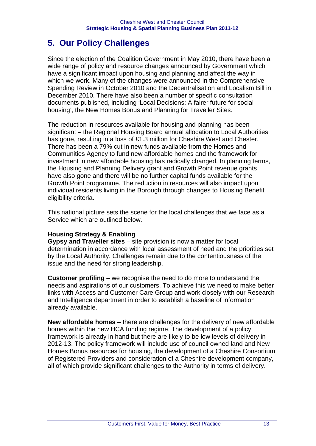# **5. Our Policy Challenges**

Since the election of the Coalition Government in May 2010, there have been a wide range of policy and resource changes announced by Government which have a significant impact upon housing and planning and affect the way in which we work. Many of the changes were announced in the Comprehensive Spending Review in October 2010 and the Decentralisation and Localism Bill in December 2010. There have also been a number of specific consultation documents published, including 'Local Decisions: A fairer future for social housing', the New Homes Bonus and Planning for Traveller Sites.

The reduction in resources available for housing and planning has been significant – the Regional Housing Board annual allocation to Local Authorities has gone, resulting in a loss of £1.3 million for Cheshire West and Chester. There has been a 79% cut in new funds available from the Homes and Communities Agency to fund new affordable homes and the framework for investment in new affordable housing has radically changed. In planning terms, the Housing and Planning Delivery grant and Growth Point revenue grants have also gone and there will be no further capital funds available for the Growth Point programme. The reduction in resources will also impact upon individual residents living in the Borough through changes to Housing Benefit eligibility criteria.

This national picture sets the scene for the local challenges that we face as a Service which are outlined below.

#### **Housing Strategy & Enabling**

**Gypsy and Traveller sites** – site provision is now a matter for local determination in accordance with local assessment of need and the priorities set by the Local Authority. Challenges remain due to the contentiousness of the issue and the need for strong leadership.

**Customer profiling** – we recognise the need to do more to understand the needs and aspirations of our customers. To achieve this we need to make better links with Access and Customer Care Group and work closely with our Research and Intelligence department in order to establish a baseline of information already available.

**New affordable homes** – there are challenges for the delivery of new affordable homes within the new HCA funding regime. The development of a policy framework is already in hand but there are likely to be low levels of delivery in 2012-13. The policy framework will include use of council owned land and New Homes Bonus resources for housing, the development of a Cheshire Consortium of Registered Providers and consideration of a Cheshire development company, all of which provide significant challenges to the Authority in terms of delivery.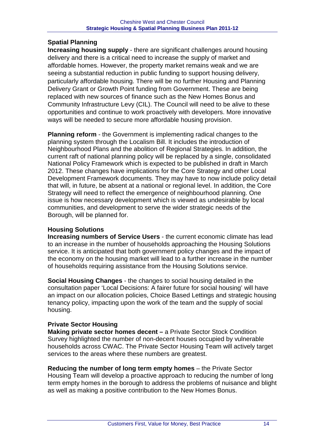#### **Spatial Planning**

**Increasing housing supply** - there are significant challenges around housing delivery and there is a critical need to increase the supply of market and affordable homes. However, the property market remains weak and we are seeing a substantial reduction in public funding to support housing delivery, particularly affordable housing. There will be no further Housing and Planning Delivery Grant or Growth Point funding from Government. These are being replaced with new sources of finance such as the New Homes Bonus and Community Infrastructure Levy (CIL). The Council will need to be alive to these opportunities and continue to work proactively with developers. More innovative ways will be needed to secure more affordable housing provision.

**Planning reform** - the Government is implementing radical changes to the planning system through the Localism Bill. It includes the introduction of Neighbourhood Plans and the abolition of Regional Strategies. In addition, the current raft of national planning policy will be replaced by a single, consolidated National Policy Framework which is expected to be published in draft in March 2012. These changes have implications for the Core Strategy and other Local Development Framework documents. They may have to now include policy detail that will, in future, be absent at a national or regional level. In addition, the Core Strategy will need to reflect the emergence of neighbourhood planning. One issue is how necessary development which is viewed as undesirable by local communities, and development to serve the wider strategic needs of the Borough, will be planned for.

#### **Housing Solutions**

**Increasing numbers of Service Users** - the current economic climate has lead to an increase in the number of households approaching the Housing Solutions service. It is anticipated that both government policy changes and the impact of the economy on the housing market will lead to a further increase in the number of households requiring assistance from the Housing Solutions service.

**Social Housing Changes** - the changes to social housing detailed in the consultation paper 'Local Decisions: A fairer future for social housing' will have an impact on our allocation policies, Choice Based Lettings and strategic housing tenancy policy, impacting upon the work of the team and the supply of social housing.

#### **Private Sector Housing**

**Making private sector homes decent –** a Private Sector Stock Condition Survey highlighted the number of non-decent houses occupied by vulnerable households across CWAC. The Private Sector Housing Team will actively target services to the areas where these numbers are greatest.

**Reducing the number of long term empty homes** – the Private Sector Housing Team will develop a proactive approach to reducing the number of long term empty homes in the borough to address the problems of nuisance and blight as well as making a positive contribution to the New Homes Bonus.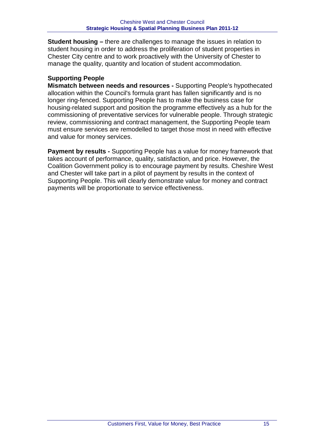**Student housing –** there are challenges to manage the issues in relation to student housing in order to address the proliferation of student properties in Chester City centre and to work proactively with the University of Chester to manage the quality, quantity and location of student accommodation.

#### **Supporting People**

**Mismatch between needs and resources -** Supporting People's hypothecated allocation within the Council's formula grant has fallen significantly and is no longer ring-fenced. Supporting People has to make the business case for housing-related support and position the programme effectively as a hub for the commissioning of preventative services for vulnerable people. Through strategic review, commissioning and contract management, the Supporting People team must ensure services are remodelled to target those most in need with effective and value for money services.

**Payment by results -** Supporting People has a value for money framework that takes account of performance, quality, satisfaction, and price. However, the Coalition Government policy is to encourage payment by results. Cheshire West and Chester will take part in a pilot of payment by results in the context of Supporting People. This will clearly demonstrate value for money and contract payments will be proportionate to service effectiveness.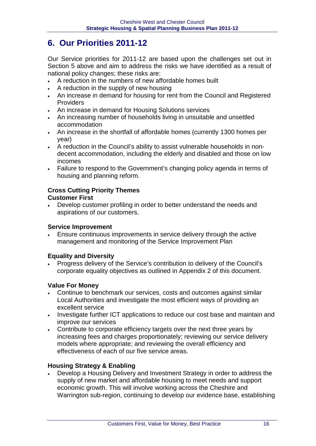# **6. Our Priorities 2011-12**

Our Service priorities for 2011-12 are based upon the challenges set out in Section 5 above and aim to address the risks we have identified as a result of national policy changes; these risks are:

- A reduction in the numbers of new affordable homes built
- A reduction in the supply of new housing
- An increase in demand for housing for rent from the Council and Registered Providers
- An increase in demand for Housing Solutions services
- An increasing number of households living in unsuitable and unsettled accommodation
- An increase in the shortfall of affordable homes (currently 1300 homes per year)
- A reduction in the Council's ability to assist vulnerable households in nondecent accommodation, including the elderly and disabled and those on low incomes
- Failure to respond to the Government's changing policy agenda in terms of housing and planning reform.

# **Cross Cutting Priority Themes**

#### **Customer First**

• Develop customer profiling in order to better understand the needs and aspirations of our customers.

#### **Service Improvement**

• Ensure continuous improvements in service delivery through the active management and monitoring of the Service Improvement Plan

#### **Equality and Diversity**

• Progress delivery of the Service's contribution to delivery of the Council's corporate equality objectives as outlined in Appendix 2 of this document.

#### **Value For Money**

- Continue to benchmark our services, costs and outcomes against similar Local Authorities and investigate the most efficient ways of providing an excellent service
- Investigate further ICT applications to reduce our cost base and maintain and improve our services
- Contribute to corporate efficiency targets over the next three years by increasing fees and charges proportionately; reviewing our service delivery models where appropriate; and reviewing the overall efficiency and effectiveness of each of our five service areas.

#### **Housing Strategy & Enabling**

• Develop a Housing Delivery and Investment Strategy in order to address the supply of new market and affordable housing to meet needs and support economic growth. This will involve working across the Cheshire and Warrington sub-region, continuing to develop our evidence base, establishing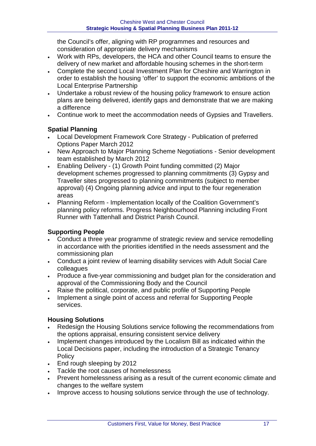the Council's offer, aligning with RP programmes and resources and consideration of appropriate delivery mechanisms

- Work with RPs, developers, the HCA and other Council teams to ensure the delivery of new market and affordable housing schemes in the short-term
- Complete the second Local Investment Plan for Cheshire and Warrington in order to establish the housing 'offer' to support the economic ambitions of the Local Enterprise Partnership
- Undertake a robust review of the housing policy framework to ensure action plans are being delivered, identify gaps and demonstrate that we are making a difference
- Continue work to meet the accommodation needs of Gypsies and Travellers.

#### **Spatial Planning**

- Local Development Framework Core Strategy Publication of preferred Options Paper March 2012
- New Approach to Major Planning Scheme Negotiations Senior development team established by March 2012
- Enabling Delivery (1) Growth Point funding committed (2) Major development schemes progressed to planning commitments (3) Gypsy and Traveller sites progressed to planning commitments (subject to member approval) (4) Ongoing planning advice and input to the four regeneration areas
- Planning Reform Implementation locally of the Coalition Government's planning policy reforms. Progress Neighbourhood Planning including Front Runner with Tattenhall and District Parish Council.

#### **Supporting People**

- Conduct a three year programme of strategic review and service remodelling in accordance with the priorities identified in the needs assessment and the commissioning plan
- Conduct a joint review of learning disability services with Adult Social Care colleagues
- Produce a five-year commissioning and budget plan for the consideration and approval of the Commissioning Body and the Council
- Raise the political, corporate, and public profile of Supporting People
- Implement a single point of access and referral for Supporting People services.

#### **Housing Solutions**

- Redesign the Housing Solutions service following the recommendations from the options appraisal, ensuring consistent service delivery
- Implement changes introduced by the Localism Bill as indicated within the Local Decisions paper, including the introduction of a Strategic Tenancy Policy
- End rough sleeping by 2012
- Tackle the root causes of homelessness
- Prevent homelessness arising as a result of the current economic climate and changes to the welfare system
- Improve access to housing solutions service through the use of technology.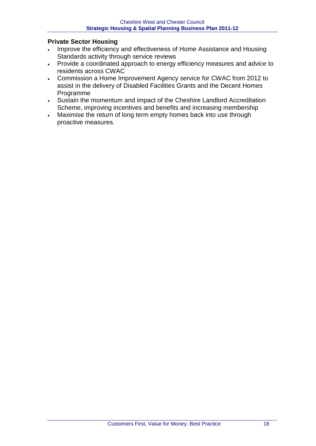#### **Private Sector Housing**

- Improve the efficiency and effectiveness of Home Assistance and Housing Standards activity through service reviews
- Provide a coordinated approach to energy efficiency measures and advice to residents across CWAC
- Commission a Home Improvement Agency service for CWAC from 2012 to assist in the delivery of Disabled Facilities Grants and the Decent Homes Programme
- Sustain the momentum and impact of the Cheshire Landlord Accreditation Scheme, improving incentives and benefits and increasing membership
- Maximise the return of long term empty homes back into use through proactive measures.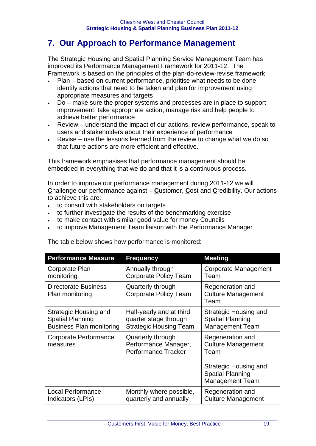# **7. Our Approach to Performance Management**

The Strategic Housing and Spatial Planning Service Management Team has improved its Performance Management Framework for 2011-12. The Framework is based on the principles of the plan-do-review-revise framework

- Plan based on current performance, prioritise what needs to be done, identify actions that need to be taken and plan for improvement using appropriate measures and targets
- Do make sure the proper systems and processes are in place to support improvement, take appropriate action, manage risk and help people to achieve better performance
- Review understand the impact of our actions, review performance, speak to users and stakeholders about their experience of performance
- Revise use the lessons learned from the review to change what we do so that future actions are more efficient and effective.

This framework emphasises that performance management should be embedded in everything that we do and that it is a continuous process.

In order to improve our performance management during 2011-12 we will **C**hallenge our performance against – **C**ustomer, **C**ost and **C**redibility. Our actions to achieve this are:

- to consult with stakeholders on targets
- to further investigate the results of the benchmarking exercise
- to make contact with similar good value for money Councils
- to improve Management Team liaison with the Performance Manager

| <b>Performance Measure</b>                     | <b>Frequency</b>                                                        | <b>Meeting</b>                                                                                                               |
|------------------------------------------------|-------------------------------------------------------------------------|------------------------------------------------------------------------------------------------------------------------------|
| Corporate Plan                                 | Annually through                                                        | Corporate Management                                                                                                         |
| monitoring                                     | <b>Corporate Policy Team</b>                                            | Team                                                                                                                         |
| <b>Directorate Business</b><br>Plan monitoring | Quarterly through<br>Corporate Policy Team                              | Regeneration and<br><b>Culture Management</b><br>Team                                                                        |
| Strategic Housing and                          | Half-yearly and at third                                                | Strategic Housing and                                                                                                        |
| <b>Spatial Planning</b>                        | quarter stage through                                                   | <b>Spatial Planning</b>                                                                                                      |
| <b>Business Plan monitoring</b>                | <b>Strategic Housing Team</b>                                           | <b>Management Team</b>                                                                                                       |
| Corporate Performance<br>measures              | Quarterly through<br>Performance Manager,<br><b>Performance Tracker</b> | Regeneration and<br><b>Culture Management</b><br>Team<br>Strategic Housing and<br><b>Spatial Planning</b><br>Management Team |
| <b>Local Performance</b>                       | Monthly where possible,                                                 | Regeneration and                                                                                                             |
| Indicators (LPIs)                              | quarterly and annually                                                  | <b>Culture Management</b>                                                                                                    |

The table below shows how performance is monitored: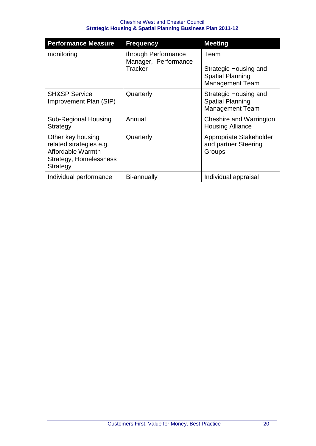| <b>Performance Measure</b>                                                                              | <b>Frequency</b>                                              | <b>Meeting</b>                                                                     |
|---------------------------------------------------------------------------------------------------------|---------------------------------------------------------------|------------------------------------------------------------------------------------|
| monitoring                                                                                              | through Performance<br>Manager, Performance<br><b>Tracker</b> | Team<br>Strategic Housing and<br><b>Spatial Planning</b><br><b>Management Team</b> |
| <b>SH&amp;SP Service</b><br>Improvement Plan (SIP)                                                      | Quarterly                                                     | Strategic Housing and<br><b>Spatial Planning</b><br><b>Management Team</b>         |
| <b>Sub-Regional Housing</b><br>Strategy                                                                 | Annual                                                        | Cheshire and Warrington<br><b>Housing Alliance</b>                                 |
| Other key housing<br>related strategies e.g.<br>Affordable Warmth<br>Strategy, Homelessness<br>Strategy | Quarterly                                                     | Appropriate Stakeholder<br>and partner Steering<br>Groups                          |
| Individual performance                                                                                  | Bi-annually                                                   | Individual appraisal                                                               |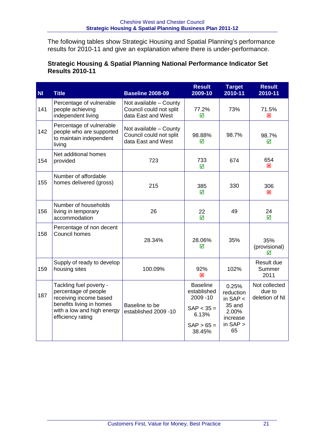The following tables show Strategic Housing and Spatial Planning's performance results for 2010-11 and give an explanation where there is under-performance.

#### **Strategic Housing & Spatial Planning National Performance Indicator Set Results 2010-11**

| <b>NI</b> | <b>Title</b>                                                                                                                                             | <b>Baseline 2008-09</b>                                                 | <b>Result</b><br>2009-10                                                                       | <b>Target</b><br>2010-11                                                            | <b>Result</b><br>2010-11                  |
|-----------|----------------------------------------------------------------------------------------------------------------------------------------------------------|-------------------------------------------------------------------------|------------------------------------------------------------------------------------------------|-------------------------------------------------------------------------------------|-------------------------------------------|
| 141       | Percentage of vulnerable<br>people achieving<br>independent living                                                                                       | Not available - County<br>Council could not split<br>data East and West | 77.2%<br>☑                                                                                     | 73%                                                                                 | 71.5%<br>図                                |
| 142       | Percentage of vulnerable<br>people who are supported<br>to maintain independent<br>living                                                                | Not available - County<br>Council could not split<br>data East and West | 98.88%<br>⊠                                                                                    | 98.7%                                                                               | 98.7%<br>☑                                |
| 154       | Net additional homes<br>provided                                                                                                                         | 723                                                                     | 733<br>☑                                                                                       | 674                                                                                 | 654<br>⊠                                  |
| 155       | Number of affordable<br>homes delivered (gross)                                                                                                          | 215                                                                     | 385<br>☑                                                                                       | 330                                                                                 | 306<br>⊠                                  |
| 156       | Number of households<br>living in temporary<br>accommodation                                                                                             | 26                                                                      | 22<br>$\overline{\mathsf{M}}$                                                                  | 49                                                                                  | 24<br>$\triangledown$                     |
| 158       | Percentage of non decent<br>Council homes                                                                                                                | 28.34%                                                                  | 28.06%<br>☑                                                                                    | 35%                                                                                 | 35%<br>(provisional)<br>⊠                 |
| 159       | Supply of ready to develop<br>housing sites                                                                                                              | 100.09%                                                                 | 92%<br>図                                                                                       | 102%                                                                                | Result due<br>Summer<br>2011              |
| 187       | Tackling fuel poverty -<br>percentage of people<br>receiving income based<br>benefits living in homes<br>with a low and high energy<br>efficiency rating | Baseline to be<br>established 2009 -10                                  | <b>Baseline</b><br>established<br>2009 - 10<br>$SAP < 35 =$<br>6.13%<br>$SAP > 65 =$<br>38.45% | 0.25%<br>reduction<br>in $SAP <$<br>35 and<br>2.00%<br>increase<br>in $SAP >$<br>65 | Not collected<br>due to<br>deletion of NI |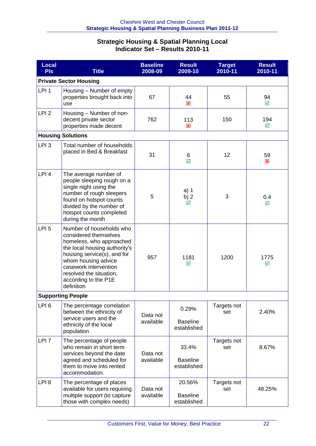#### **Strategic Housing & Spatial Planning Local Indicator Set – Results 2010-11**

| <b>Local</b><br><b>PIs</b> | <b>Title</b>                                                                                                                                                                                                                                                   | <b>Baseline</b><br>2008-09 | <b>Result</b><br>2009-10                 | <b>Target</b><br>2010-11 | <b>Result</b><br>2010-11      |  |
|----------------------------|----------------------------------------------------------------------------------------------------------------------------------------------------------------------------------------------------------------------------------------------------------------|----------------------------|------------------------------------------|--------------------------|-------------------------------|--|
|                            | <b>Private Sector Housing</b>                                                                                                                                                                                                                                  |                            |                                          |                          |                               |  |
| LPI <sub>1</sub>           | Housing - Number of empty<br>properties brought back into<br>use                                                                                                                                                                                               | 67                         | 44<br>図                                  | 55                       | 94<br>$\overline{\mathsf{M}}$ |  |
| LPI <sub>2</sub>           | Housing - Number of non-<br>decent private sector<br>properties made decent                                                                                                                                                                                    | 762                        | 113<br>$\overline{\mathbf{x}}$           | 150                      | 194<br>☑                      |  |
|                            | <b>Housing Solutions</b>                                                                                                                                                                                                                                       |                            |                                          |                          |                               |  |
| LPI <sub>3</sub>           | Total number of households<br>placed in Bed & Breakfast                                                                                                                                                                                                        | 31                         | 6<br>$\overline{\mathbf{M}}$             | 12                       | 59<br>図                       |  |
| LPI <sub>4</sub>           | The average number of<br>people sleeping rough on a<br>single night using the<br>number of rough sleepers<br>found on hotspot counts<br>divided by the number of<br>hotspot counts completed<br>during the month                                               | 5                          | $a)$ 1<br>b) $2$<br>☑                    | 3                        | 0.4<br>☑                      |  |
| LPI <sub>5</sub>           | Number of households who<br>considered themselves<br>homeless, who approached<br>the local housing authority's<br>housing service(s), and for<br>whom housing advice<br>casework intervention<br>resolved the situation,<br>according to the P1E<br>definition | 957                        | 1181<br>☑                                | 1200                     | 1775<br>☑                     |  |
|                            | <b>Supporting People</b>                                                                                                                                                                                                                                       |                            |                                          |                          |                               |  |
| LPI <sub>6</sub>           | The percentage correlation<br>between the ethnicity of<br>service users and the<br>ethnicity of the local<br>population                                                                                                                                        | Data not<br>available      | 0.29%<br><b>Baseline</b><br>established  | Targets not<br>set       | 2.40%                         |  |
| LPI <sub>7</sub>           | The percentage of people<br>who remain in short term<br>services beyond the date<br>agreed and scheduled for<br>them to move into rented<br>accommodation.                                                                                                     | Data not<br>available      | 33.4%<br><b>Baseline</b><br>established  | Targets not<br>set       | 8.67%                         |  |
| LPI <sub>8</sub>           | The percentage of places<br>available for users requiring<br>multiple support (to capture<br>those with complex needs)                                                                                                                                         | Data not<br>available      | 20.56%<br><b>Baseline</b><br>established | Targets not<br>set       | 48.25%                        |  |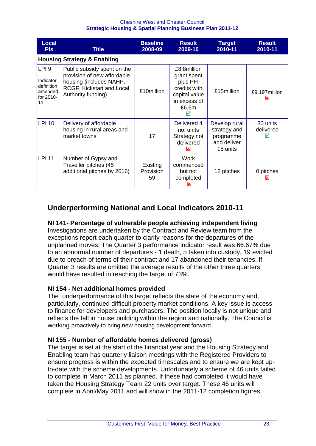| <b>Local</b><br><b>PIs</b>                                                | Title                                                                                                                                    | <b>Baseline</b><br>2008-09  | <b>Result</b><br>2009-10                                                                              | <b>Target</b><br>2010-11                                              | <b>Result</b><br>2010-11   |
|---------------------------------------------------------------------------|------------------------------------------------------------------------------------------------------------------------------------------|-----------------------------|-------------------------------------------------------------------------------------------------------|-----------------------------------------------------------------------|----------------------------|
|                                                                           | <b>Housing Strategy &amp; Enabling</b>                                                                                                   |                             |                                                                                                       |                                                                       |                            |
| LPI <sub>9</sub><br>Indicator<br>definition<br>amended<br>for 2010-<br>11 | Public subsidy spent on the<br>provision of new affordable<br>housing (includes NAHP,<br>RCGF, Kickstart and Local<br>Authority funding) | £10million                  | £8.8million<br>grant spent<br>plus PFI<br>credits with<br>capital value<br>in excess of<br>£6.6m<br>☑ | £15million                                                            | £9.197million<br>⊠         |
| <b>LPI 10</b>                                                             | Delivery of affordable<br>housing in rural areas and<br>market towns                                                                     | 17                          | Delivered 4<br>no. units<br>Strategy not<br>delivered<br>⊠                                            | Develop rural<br>strategy and<br>programme<br>and deliver<br>15 units | 30 units<br>delivered<br>☑ |
| <b>LPI 11</b>                                                             | Number of Gypsy and<br>Traveller pitches (45<br>additional pitches by 2016)                                                              | Existing<br>Provision<br>59 | Work<br>commenced<br>but not<br>completed<br>⊠                                                        | 12 pitches                                                            | 0 pitches<br>x             |

## **Underperforming National and Local Indicators 2010-11**

#### **NI 141- Percentage of vulnerable people achieving independent living**

Investigations are undertaken by the Contract and Review team from the exceptions report each quarter to clarify reasons for the departures of the unplanned moves. The Quarter 3 performance indicator result was 66.67% due to an abnormal number of departures - 1 death, 5 taken into custody, 19 evicted due to breach of terms of their contract and 17 abandoned their tenancies. If Quarter 3 results are omitted the average results of the other three quarters would have resulted in reaching the target of 73%.

#### **NI 154 - Net additional homes provided**

The underperformance of this target reflects the state of the economy and, particularly, continued difficult property market conditions. A key issue is access to finance for developers and purchasers. The position locally is not unique and reflects the fall in house building within the region and nationally. The Council is working proactively to bring new housing development forward.

#### **NI 155 - Number of affordable homes delivered (gross)**

The target is set at the start of the financial year and the Housing Strategy and Enabling team has quarterly liaison meetings with the Registered Providers to ensure progress is within the expected timescales and to ensure we are kept upto-date with the scheme developments. Unfortunately a scheme of 46 units failed to complete in March 2011 as planned. If these had completed it would have taken the Housing Strategy Team 22 units over target. These 46 units will complete in April/May 2011 and will show in the 2011-12 completion figures.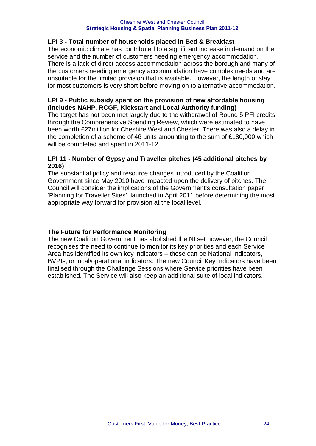#### **LPI 3 - Total number of households placed in Bed & Breakfast**

The economic climate has contributed to a significant increase in demand on the service and the number of customers needing emergency accommodation. There is a lack of direct access accommodation across the borough and many of the customers needing emergency accommodation have complex needs and are unsuitable for the limited provision that is available. However, the length of stay for most customers is very short before moving on to alternative accommodation.

#### **LPI 9 - Public subsidy spent on the provision of new affordable housing (includes NAHP, RCGF, Kickstart and Local Authority funding)**

The target has not been met largely due to the withdrawal of Round 5 PFI credits through the Comprehensive Spending Review, which were estimated to have been worth £27million for Cheshire West and Chester. There was also a delay in the completion of a scheme of 46 units amounting to the sum of £180,000 which will be completed and spent in 2011-12.

#### **LPI 11 - Number of Gypsy and Traveller pitches (45 additional pitches by 2016)**

The substantial policy and resource changes introduced by the Coalition Government since May 2010 have impacted upon the delivery of pitches. The Council will consider the implications of the Government's consultation paper 'Planning for Traveller Sites', launched in April 2011 before determining the most appropriate way forward for provision at the local level.

#### **The Future for Performance Monitoring**

The new Coalition Government has abolished the NI set however, the Council recognises the need to continue to monitor its key priorities and each Service Area has identified its own key indicators – these can be National Indicators, BVPIs, or local/operational indicators. The new Council Key Indicators have been finalised through the Challenge Sessions where Service priorities have been established. The Service will also keep an additional suite of local indicators.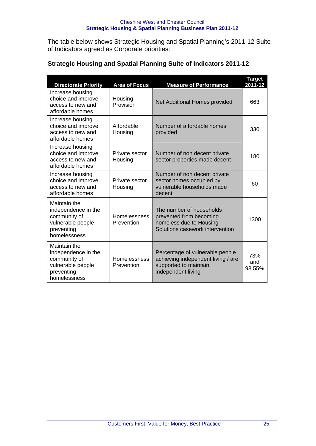The table below shows Strategic Housing and Spatial Planning's 2011-12 Suite of Indicators agreed as Corporate priorities:

| <b>Directorate Priority</b>                                                                            | <b>Area of Focus</b>       | <b>Measure of Performance</b>                                                                                        | <b>Target</b><br>2011-12 |
|--------------------------------------------------------------------------------------------------------|----------------------------|----------------------------------------------------------------------------------------------------------------------|--------------------------|
| Increase housing<br>choice and improve<br>access to new and<br>affordable homes                        | Housing<br>Provision       | Net Additional Homes provided                                                                                        | 663                      |
| Increase housing<br>choice and improve<br>access to new and<br>affordable homes                        | Affordable<br>Housing      | Number of affordable homes<br>provided                                                                               | 330                      |
| Increase housing<br>choice and improve<br>access to new and<br>affordable homes                        | Private sector<br>Housing  | Number of non decent private<br>sector properties made decent                                                        | 180                      |
| Increase housing<br>choice and improve<br>access to new and<br>affordable homes                        | Private sector<br>Housing  | Number of non decent private<br>sector homes occupied by<br>vulnerable households made<br>decent                     | 60                       |
| Maintain the<br>independence in the<br>community of<br>vulnerable people<br>preventing<br>homelessness | Homelessness<br>Prevention | The number of households<br>prevented from becoming<br>homeless due to Housing<br>Solutions casework intervention    | 1300                     |
| Maintain the<br>independence in the<br>community of<br>vulnerable people<br>preventing<br>homelessness | Homelessness<br>Prevention | Percentage of vulnerable people<br>achieving independent living / are<br>supported to maintain<br>independent living | 73%<br>and<br>98.55%     |

#### **Strategic Housing and Spatial Planning Suite of Indicators 2011-12**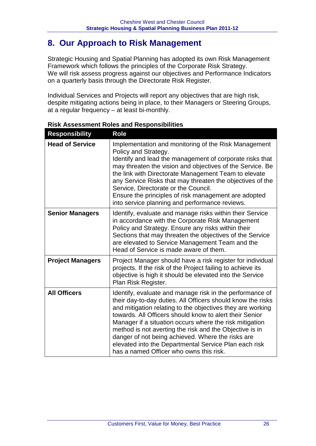# **8. Our Approach to Risk Management**

Strategic Housing and Spatial Planning has adopted its own Risk Management Framework which follows the principles of the Corporate Risk Strategy. We will risk assess progress against our objectives and Performance Indicators on a quarterly basis through the Directorate Risk Register.

Individual Services and Projects will report any objectives that are high risk, despite mitigating actions being in place, to their Managers or Steering Groups, at a regular frequency – at least bi-monthly.

| <b>Responsibility</b>   | <b>Role</b>                                                                                                                                                                                                                                                                                                                                                                                                                                                                                                                     |
|-------------------------|---------------------------------------------------------------------------------------------------------------------------------------------------------------------------------------------------------------------------------------------------------------------------------------------------------------------------------------------------------------------------------------------------------------------------------------------------------------------------------------------------------------------------------|
| <b>Head of Service</b>  | Implementation and monitoring of the Risk Management<br>Policy and Strategy.<br>Identify and lead the management of corporate risks that<br>may threaten the vision and objectives of the Service. Be<br>the link with Directorate Management Team to elevate<br>any Service Risks that may threaten the objectives of the<br>Service, Directorate or the Council.<br>Ensure the principles of risk management are adopted<br>into service planning and performance reviews.                                                    |
| <b>Senior Managers</b>  | Identify, evaluate and manage risks within their Service<br>in accordance with the Corporate Risk Management<br>Policy and Strategy. Ensure any risks within their<br>Sections that may threaten the objectives of the Service<br>are elevated to Service Management Team and the<br>Head of Service is made aware of them.                                                                                                                                                                                                     |
| <b>Project Managers</b> | Project Manager should have a risk register for individual<br>projects. If the risk of the Project failing to achieve its<br>objective is high it should be elevated into the Service<br>Plan Risk Register.                                                                                                                                                                                                                                                                                                                    |
| <b>All Officers</b>     | Identify, evaluate and manage risk in the performance of<br>their day-to-day duties. All Officers should know the risks<br>and mitigation relating to the objectives they are working<br>towards. All Officers should know to alert their Senior<br>Manager if a situation occurs where the risk mitigation<br>method is not averting the risk and the Objective is in<br>danger of not being achieved. Where the risks are<br>elevated into the Departmental Service Plan each risk<br>has a named Officer who owns this risk. |

#### **Risk Assessment Roles and Responsibilities**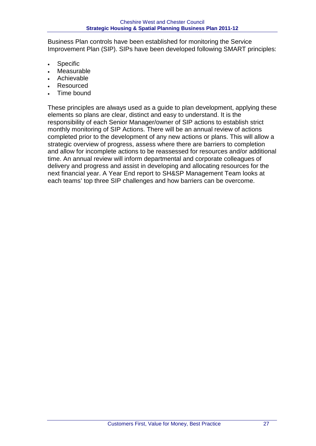Business Plan controls have been established for monitoring the Service Improvement Plan (SIP). SIPs have been developed following SMART principles:

- **Specific**
- **Measurable**
- **Achievable**
- **Resourced**
- Time bound

These principles are always used as a guide to plan development, applying these elements so plans are clear, distinct and easy to understand. It is the responsibility of each Senior Manager/owner of SIP actions to establish strict monthly monitoring of SIP Actions. There will be an annual review of actions completed prior to the development of any new actions or plans. This will allow a strategic overview of progress, assess where there are barriers to completion and allow for incomplete actions to be reassessed for resources and/or additional time. An annual review will inform departmental and corporate colleagues of delivery and progress and assist in developing and allocating resources for the next financial year. A Year End report to SH&SP Management Team looks at each teams' top three SIP challenges and how barriers can be overcome.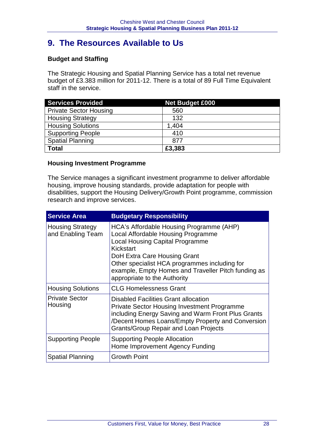# **9. The Resources Available to Us**

#### **Budget and Staffing**

The Strategic Housing and Spatial Planning Service has a total net revenue budget of £3.383 million for 2011-12. There is a total of 89 Full Time Equivalent staff in the service.

| <b>Services Provided</b>      | <b>Net Budget £000</b> |
|-------------------------------|------------------------|
| <b>Private Sector Housing</b> | 560                    |
| <b>Housing Strategy</b>       | 132                    |
| <b>Housing Solutions</b>      | 1,404                  |
| <b>Supporting People</b>      | 410                    |
| <b>Spatial Planning</b>       | 877                    |
| <b>Total</b>                  | £3,383                 |

#### **Housing Investment Programme**

The Service manages a significant investment programme to deliver affordable housing, improve housing standards, provide adaptation for people with disabilities, support the Housing Delivery/Growth Point programme, commission research and improve services.

| <b>Service Area</b>                          | <b>Budgetary Responsibility</b>                                                                                                                                                                                                                                                                               |
|----------------------------------------------|---------------------------------------------------------------------------------------------------------------------------------------------------------------------------------------------------------------------------------------------------------------------------------------------------------------|
| <b>Housing Strategy</b><br>and Enabling Team | HCA's Affordable Housing Programme (AHP)<br>Local Affordable Housing Programme<br><b>Local Housing Capital Programme</b><br>Kickstart<br>DoH Extra Care Housing Grant<br>Other specialist HCA programmes including for<br>example, Empty Homes and Traveller Pitch funding as<br>appropriate to the Authority |
| <b>Housing Solutions</b>                     | <b>CLG Homelessness Grant</b>                                                                                                                                                                                                                                                                                 |
| <b>Private Sector</b><br>Housing             | <b>Disabled Facilities Grant allocation</b><br><b>Private Sector Housing Investment Programme</b><br>including Energy Saving and Warm Front Plus Grants<br>/Decent Homes Loans/Empty Property and Conversion<br><b>Grants/Group Repair and Loan Projects</b>                                                  |
| <b>Supporting People</b>                     | <b>Supporting People Allocation</b><br>Home Improvement Agency Funding                                                                                                                                                                                                                                        |
| <b>Spatial Planning</b>                      | <b>Growth Point</b>                                                                                                                                                                                                                                                                                           |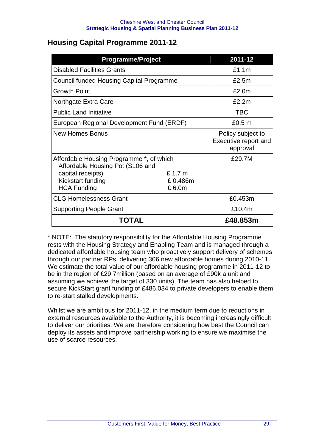## **Housing Capital Programme 2011-12**

| <b>Programme/Project</b>                                                                                                                     |                            | 2011-12                                               |
|----------------------------------------------------------------------------------------------------------------------------------------------|----------------------------|-------------------------------------------------------|
| <b>Disabled Facilities Grants</b>                                                                                                            |                            | £1.1m                                                 |
| <b>Council funded Housing Capital Programme</b>                                                                                              |                            | £2.5m                                                 |
| <b>Growth Point</b>                                                                                                                          |                            | £2.0m                                                 |
| Northgate Extra Care                                                                                                                         |                            | £2.2m                                                 |
| <b>Public Land Initiative</b>                                                                                                                |                            | <b>TBC</b>                                            |
| European Regional Development Fund (ERDF)                                                                                                    |                            | £0.5 <sub>m</sub>                                     |
| <b>New Homes Bonus</b>                                                                                                                       |                            | Policy subject to<br>Executive report and<br>approval |
| Affordable Housing Programme *, of which<br>Affordable Housing Pot (S106 and<br>capital receipts)<br>Kickstart funding<br><b>HCA Funding</b> | £1.7 m<br>£0.486m<br>£6.0m | £29.7M                                                |
| <b>CLG Homelessness Grant</b>                                                                                                                |                            | £0.453m                                               |
| <b>Supporting People Grant</b>                                                                                                               |                            | £10.4m                                                |
| TOTAL                                                                                                                                        |                            | £48.853m                                              |

\* NOTE: The statutory responsibility for the Affordable Housing Programme rests with the Housing Strategy and Enabling Team and is managed through a dedicated affordable housing team who proactively support delivery of schemes through our partner RPs, delivering 306 new affordable homes during 2010-11. We estimate the total value of our affordable housing programme in 2011-12 to be in the region of £29.7million (based on an average of £90k a unit and assuming we achieve the target of 330 units). The team has also helped to secure KickStart grant funding of £486,034 to private developers to enable them to re-start stalled developments.

Whilst we are ambitious for 2011-12, in the medium term due to reductions in external resources available to the Authority, it is becoming increasingly difficult to deliver our priorities. We are therefore considering how best the Council can deploy its assets and improve partnership working to ensure we maximise the use of scarce resources.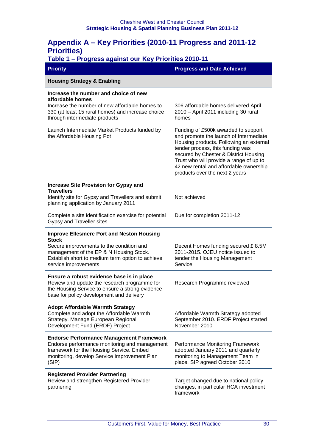## **Appendix A – Key Priorities (2010-11 Progress and 2011-12 Priorities)**

#### **Table 1 – Progress against our Key Priorities 2010-11**

| <b>Priority</b>                                                                                                                                                                                                                     | <b>Progress and Date Achieved</b>                                                                                                                                                                                                                                                                                            |
|-------------------------------------------------------------------------------------------------------------------------------------------------------------------------------------------------------------------------------------|------------------------------------------------------------------------------------------------------------------------------------------------------------------------------------------------------------------------------------------------------------------------------------------------------------------------------|
| <b>Housing Strategy &amp; Enabling</b>                                                                                                                                                                                              |                                                                                                                                                                                                                                                                                                                              |
| Increase the number and choice of new<br>affordable homes<br>Increase the number of new affordable homes to<br>330 (at least 15 rural homes) and increase choice<br>through intermediate products                                   | 306 affordable homes delivered April<br>2010 - April 2011 including 30 rural<br>homes                                                                                                                                                                                                                                        |
| Launch Intermediate Market Products funded by<br>the Affordable Housing Pot                                                                                                                                                         | Funding of £500k awarded to support<br>and promote the launch of Intermediate<br>Housing products. Following an external<br>tender process, this funding was<br>secured by Chester & District Housing<br>Trust who will provide a range of up to<br>42 new rental and affordable ownership<br>products over the next 2 years |
| <b>Increase Site Provision for Gypsy and</b><br><b>Travellers</b><br>Identify site for Gypsy and Travellers and submit<br>planning application by January 2011                                                                      | Not achieved                                                                                                                                                                                                                                                                                                                 |
| Complete a site identification exercise for potential<br>Gypsy and Traveller sites                                                                                                                                                  | Due for completion 2011-12                                                                                                                                                                                                                                                                                                   |
| <b>Improve Ellesmere Port and Neston Housing</b><br><b>Stock</b><br>Secure improvements to the condition and<br>management of the EP & N Housing Stock.<br>Establish short to medium term option to achieve<br>service improvements | Decent Homes funding secured £8.5M<br>2011-2015. OJEU notice issued to<br>tender the Housing Management<br>Service                                                                                                                                                                                                           |
| Ensure a robust evidence base is in place<br>Review and update the research programme for<br>the Housing Service to ensure a strong evidence<br>base for policy development and delivery                                            | Research Programme reviewed                                                                                                                                                                                                                                                                                                  |
| <b>Adopt Affordable Warmth Strategy</b><br>Complete and adopt the Affordable Warmth<br>Strategy. Manage European Regional<br>Development Fund (ERDF) Project                                                                        | Affordable Warmth Strategy adopted<br>September 2010. ERDF Project started<br>November 2010                                                                                                                                                                                                                                  |
| <b>Endorse Performance Management Framework</b><br>Endorse performance monitoring and management<br>framework for the Housing Service. Embed<br>monitoring, develop Service Improvement Plan<br>(SIP)                               | Performance Monitoring Framework<br>adopted January 2011 and quarterly<br>monitoring to Management Team in<br>place. SIP agreed October 2010                                                                                                                                                                                 |
| <b>Registered Provider Partnering</b><br>Review and strengthen Registered Provider<br>partnering                                                                                                                                    | Target changed due to national policy<br>changes, in particular HCA investment<br>framework                                                                                                                                                                                                                                  |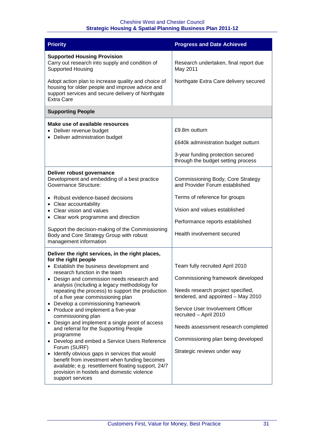| <b>Priority</b>                                                                                                                                                                                                                                                                                                                                                                                                                                                                                                                                                                                                                                                                                                                                                                                                                                                        | <b>Progress and Date Achieved</b>                                                                                                                                                                                                                                                                                         |
|------------------------------------------------------------------------------------------------------------------------------------------------------------------------------------------------------------------------------------------------------------------------------------------------------------------------------------------------------------------------------------------------------------------------------------------------------------------------------------------------------------------------------------------------------------------------------------------------------------------------------------------------------------------------------------------------------------------------------------------------------------------------------------------------------------------------------------------------------------------------|---------------------------------------------------------------------------------------------------------------------------------------------------------------------------------------------------------------------------------------------------------------------------------------------------------------------------|
| <b>Supported Housing Provision</b><br>Carry out research into supply and condition of<br><b>Supported Housing</b>                                                                                                                                                                                                                                                                                                                                                                                                                                                                                                                                                                                                                                                                                                                                                      | Research undertaken, final report due<br>May 2011                                                                                                                                                                                                                                                                         |
| Adopt action plan to increase quality and choice of<br>housing for older people and improve advice and<br>support services and secure delivery of Northgate<br><b>Extra Care</b>                                                                                                                                                                                                                                                                                                                                                                                                                                                                                                                                                                                                                                                                                       | Northgate Extra Care delivery secured                                                                                                                                                                                                                                                                                     |
| <b>Supporting People</b>                                                                                                                                                                                                                                                                                                                                                                                                                                                                                                                                                                                                                                                                                                                                                                                                                                               |                                                                                                                                                                                                                                                                                                                           |
| Make use of available resources<br>Deliver revenue budget                                                                                                                                                                                                                                                                                                                                                                                                                                                                                                                                                                                                                                                                                                                                                                                                              | £9.8m outturn                                                                                                                                                                                                                                                                                                             |
| Deliver administration budget                                                                                                                                                                                                                                                                                                                                                                                                                                                                                                                                                                                                                                                                                                                                                                                                                                          | £640k administration budget outturn                                                                                                                                                                                                                                                                                       |
|                                                                                                                                                                                                                                                                                                                                                                                                                                                                                                                                                                                                                                                                                                                                                                                                                                                                        | 3-year funding protection secured<br>through the budget setting process                                                                                                                                                                                                                                                   |
| Deliver robust governance<br>Development and embedding of a best practice<br>Governance Structure:                                                                                                                                                                                                                                                                                                                                                                                                                                                                                                                                                                                                                                                                                                                                                                     | Commissioning Body, Core Strategy<br>and Provider Forum established                                                                                                                                                                                                                                                       |
| • Robust evidence-based decisions<br>• Clear accountability<br>• Clear vision and values<br>• Clear work programme and direction                                                                                                                                                                                                                                                                                                                                                                                                                                                                                                                                                                                                                                                                                                                                       | Terms of reference for groups<br>Vision and values established                                                                                                                                                                                                                                                            |
| Support the decision-making of the Commissioning<br>Body and Core Strategy Group with robust<br>management information                                                                                                                                                                                                                                                                                                                                                                                                                                                                                                                                                                                                                                                                                                                                                 | Performance reports established<br>Health involvement secured                                                                                                                                                                                                                                                             |
| Deliver the right services, in the right places,<br>for the right people<br>• Establish the business development and<br>research function in the team<br>Design and commission needs research and<br>$\bullet$<br>analysis (including a legacy methodology for<br>repeating the process) to support the production<br>of a five year commissioning plan<br>Develop a commissioning framework<br>Produce and implement a five-year<br>commissioning plan<br>Design and implement a single point of access<br>and referral for the Supporting People<br>programme<br>• Develop and embed a Service Users Reference<br>Forum (SURF)<br>Identify obvious gaps in services that would<br>$\bullet$<br>benefit from investment when funding becomes<br>available; e.g. resettlement floating support, 24/7<br>provision in hostels and domestic violence<br>support services | Team fully recruited April 2010<br>Commissioning framework developed<br>Needs research project specified,<br>tendered, and appointed - May 2010<br>Service User Involvement Officer<br>recruited - April 2010<br>Needs assessment research completed<br>Commissioning plan being developed<br>Strategic reviews under way |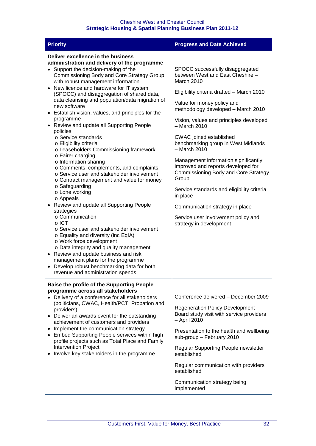| <b>Priority</b>                                                                                                                                                                                                                                                                                                                                                                                                                                                                                                                                                                                                                                                                                                                                                                                                                                                                                                                                                                                                                                                                                                                                                                                                                                                 | <b>Progress and Date Achieved</b>                                                                                                                                                                                                                                                                                                                                                                                                                                                                                                                                                                                                                              |
|-----------------------------------------------------------------------------------------------------------------------------------------------------------------------------------------------------------------------------------------------------------------------------------------------------------------------------------------------------------------------------------------------------------------------------------------------------------------------------------------------------------------------------------------------------------------------------------------------------------------------------------------------------------------------------------------------------------------------------------------------------------------------------------------------------------------------------------------------------------------------------------------------------------------------------------------------------------------------------------------------------------------------------------------------------------------------------------------------------------------------------------------------------------------------------------------------------------------------------------------------------------------|----------------------------------------------------------------------------------------------------------------------------------------------------------------------------------------------------------------------------------------------------------------------------------------------------------------------------------------------------------------------------------------------------------------------------------------------------------------------------------------------------------------------------------------------------------------------------------------------------------------------------------------------------------------|
| Deliver excellence in the business<br>administration and delivery of the programme<br>• Support the decision-making of the<br>Commissioning Body and Core Strategy Group<br>with robust management information<br>• New licence and hardware for IT system<br>(SPOCC) and disaggregation of shared data,<br>data cleansing and population/data migration of<br>new software<br>Establish vision, values, and principles for the<br>programme<br>• Review and update all Supporting People<br>policies<br>○ Service standards<br>o Eligibility criteria<br>o Leaseholders Commissioning framework<br>o Fairer charging<br>o Information sharing<br>o Comments, complements, and complaints<br>o Service user and stakeholder involvement<br>o Contract management and value for money<br>o Safeguarding<br>o Lone working<br>o Appeals<br>Review and update all Supporting People<br>strategies<br>o Communication<br>$\circ$ ICT<br>○ Service user and stakeholder involvement<br>o Equality and diversity (inc EqIA)<br>o Work force development<br>o Data integrity and quality management<br>• Review and update business and risk<br>management plans for the programme<br>• Develop robust benchmarking data for both<br>revenue and administration spends | SPOCC successfully disaggregated<br>between West and East Cheshire -<br>March 2010<br>Eligibility criteria drafted - March 2010<br>Value for money policy and<br>methodology developed - March 2010<br>Vision, values and principles developed<br>$-$ March 2010<br><b>CWAC</b> joined established<br>benchmarking group in West Midlands<br>- March 2010<br>Management information significantly<br>improved and reports developed for<br><b>Commissioning Body and Core Strategy</b><br>Group<br>Service standards and eligibility criteria<br>in place<br>Communication strategy in place<br>Service user involvement policy and<br>strategy in development |
| Raise the profile of the Supporting People<br>programme across all stakeholders<br>Delivery of a conference for all stakeholders<br>(politicians, CWAC, Health/PCT, Probation and<br>providers)<br>• Deliver an awards event for the outstanding<br>achievement of customers and providers<br>Implement the communication strategy<br>• Embed Supporting People services within high<br>profile projects such as Total Place and Family<br><b>Intervention Project</b><br>Involve key stakeholders in the programme                                                                                                                                                                                                                                                                                                                                                                                                                                                                                                                                                                                                                                                                                                                                             | Conference delivered - December 2009<br><b>Regeneration Policy Development</b><br>Board study visit with service providers<br>- April 2010<br>Presentation to the health and wellbeing<br>sub-group - February 2010<br>Regular Supporting People newsletter<br>established<br>Regular communication with providers<br>established<br>Communication strategy being<br>implemented                                                                                                                                                                                                                                                                               |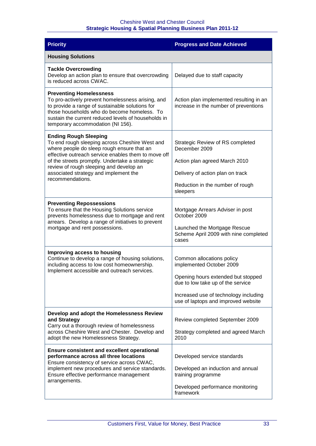| <b>Priority</b>                                                                                                                                                                                                                                                                   | <b>Progress and Date Achieved</b>                                                |
|-----------------------------------------------------------------------------------------------------------------------------------------------------------------------------------------------------------------------------------------------------------------------------------|----------------------------------------------------------------------------------|
| <b>Housing Solutions</b>                                                                                                                                                                                                                                                          |                                                                                  |
| <b>Tackle Overcrowding</b><br>Develop an action plan to ensure that overcrowding<br>is reduced across CWAC.                                                                                                                                                                       | Delayed due to staff capacity                                                    |
| <b>Preventing Homelessness</b><br>To pro-actively prevent homelessness arising, and<br>to provide a range of sustainable solutions for<br>those households who do become homeless. To<br>sustain the current reduced levels of households in<br>temporary accommodation (NI 156). | Action plan implemented resulting in an<br>increase in the number of preventions |
| <b>Ending Rough Sleeping</b><br>To end rough sleeping across Cheshire West and<br>where people do sleep rough ensure that an                                                                                                                                                      | Strategic Review of RS completed<br>December 2009                                |
| effective outreach service enables them to move off<br>of the streets promptly. Undertake a strategic                                                                                                                                                                             | Action plan agreed March 2010                                                    |
| review of rough sleeping and develop an<br>associated strategy and implement the<br>recommendations.                                                                                                                                                                              | Delivery of action plan on track                                                 |
|                                                                                                                                                                                                                                                                                   | Reduction in the number of rough<br>sleepers                                     |
| <b>Preventing Repossessions</b><br>To ensure that the Housing Solutions service<br>prevents homelessness due to mortgage and rent<br>arrears. Develop a range of initiatives to prevent<br>mortgage and rent possessions.                                                         | Mortgage Arrears Adviser in post<br>October 2009                                 |
|                                                                                                                                                                                                                                                                                   | Launched the Mortgage Rescue<br>Scheme April 2009 with nine completed<br>cases   |
| Improving access to housing<br>Continue to develop a range of housing solutions,<br>including access to low cost homeownership.<br>Implement accessible and outreach services.                                                                                                    | Common allocations policy<br>implemented October 2009                            |
|                                                                                                                                                                                                                                                                                   | Opening hours extended but stopped<br>due to low take up of the service          |
|                                                                                                                                                                                                                                                                                   | Increased use of technology including<br>use of laptops and improved website     |
| Develop and adopt the Homelessness Review<br>and Strategy<br>Carry out a thorough review of homelessness<br>across Cheshire West and Chester. Develop and<br>adopt the new Homelessness Strategy.                                                                                 | Review completed September 2009                                                  |
|                                                                                                                                                                                                                                                                                   | Strategy completed and agreed March<br>2010                                      |
| <b>Ensure consistent and excellent operational</b><br>performance across all three locations<br>Ensure consistency of service across CWAC,                                                                                                                                        | Developed service standards                                                      |
| implement new procedures and service standards.<br>Ensure effective performance management                                                                                                                                                                                        | Developed an induction and annual<br>training programme                          |
| arrangements.                                                                                                                                                                                                                                                                     | Developed performance monitoring<br>framework                                    |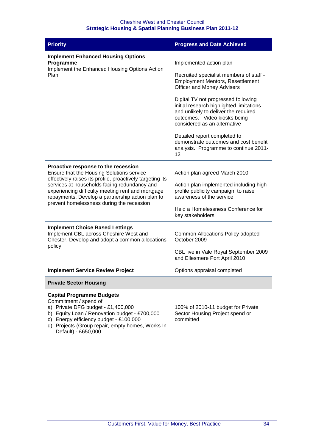| <b>Priority</b>                                                                                                                                                                                                                                                                                                                                     | <b>Progress and Date Achieved</b>                                                                                                                                                                                                                                                                                                                                                                                                                                     |
|-----------------------------------------------------------------------------------------------------------------------------------------------------------------------------------------------------------------------------------------------------------------------------------------------------------------------------------------------------|-----------------------------------------------------------------------------------------------------------------------------------------------------------------------------------------------------------------------------------------------------------------------------------------------------------------------------------------------------------------------------------------------------------------------------------------------------------------------|
| <b>Implement Enhanced Housing Options</b><br>Programme<br>Implement the Enhanced Housing Options Action<br>Plan                                                                                                                                                                                                                                     | Implemented action plan<br>Recruited specialist members of staff -<br><b>Employment Mentors, Resettlement</b><br><b>Officer and Money Advisers</b><br>Digital TV not progressed following<br>initial research highlighted limitations<br>and unlikely to deliver the required<br>outcomes. Video kiosks being<br>considered as an alternative<br>Detailed report completed to<br>demonstrate outcomes and cost benefit<br>analysis. Programme to continue 2011-<br>12 |
| Proactive response to the recession<br>Ensure that the Housing Solutions service<br>effectively raises its profile, proactively targeting its<br>services at households facing redundancy and<br>experiencing difficulty meeting rent and mortgage<br>repayments. Develop a partnership action plan to<br>prevent homelessness during the recession | Action plan agreed March 2010<br>Action plan implemented including high<br>profile publicity campaign to raise<br>awareness of the service<br>Held a Homelessness Conference for<br>key stakeholders                                                                                                                                                                                                                                                                  |
| <b>Implement Choice Based Lettings</b><br>Implement CBL across Cheshire West and<br>Chester. Develop and adopt a common allocations<br>policy                                                                                                                                                                                                       | Common Allocations Policy adopted<br>October 2009<br>CBL live in Vale Royal September 2009<br>and Ellesmere Port April 2010                                                                                                                                                                                                                                                                                                                                           |
| <b>Implement Service Review Project</b>                                                                                                                                                                                                                                                                                                             | Options appraisal completed                                                                                                                                                                                                                                                                                                                                                                                                                                           |
| <b>Private Sector Housing</b>                                                                                                                                                                                                                                                                                                                       |                                                                                                                                                                                                                                                                                                                                                                                                                                                                       |
| <b>Capital Programme Budgets</b><br>Commitment / spend of<br>a) Private DFG budget - £1,400,000<br>b) Equity Loan / Renovation budget - £700,000<br>c) Energy efficiency budget - £100,000<br>d) Projects (Group repair, empty homes, Works In<br>Default) - £650,000                                                                               | 100% of 2010-11 budget for Private<br>Sector Housing Project spend or<br>committed                                                                                                                                                                                                                                                                                                                                                                                    |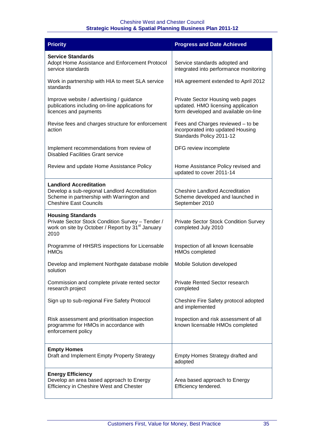| <b>Priority</b>                                                                                                                                              | <b>Progress and Date Achieved</b>                                                                              |
|--------------------------------------------------------------------------------------------------------------------------------------------------------------|----------------------------------------------------------------------------------------------------------------|
| <b>Service Standards</b><br>Adopt Home Assistance and Enforcement Protocol<br>service standards                                                              | Service standards adopted and<br>integrated into performance monitoring                                        |
| Work in partnership with HIA to meet SLA service<br>standards                                                                                                | HIA agreement extended to April 2012                                                                           |
| Improve website / advertising / guidance<br>publications including on-line applications for<br>licences and payments                                         | Private Sector Housing web pages<br>updated. HMO licensing application<br>form developed and available on-line |
| Revise fees and charges structure for enforcement<br>action                                                                                                  | Fees and Charges reviewed - to be<br>incorporated into updated Housing<br>Standards Policy 2011-12             |
| Implement recommendations from review of<br><b>Disabled Facilities Grant service</b>                                                                         | DFG review incomplete                                                                                          |
| Review and update Home Assistance Policy                                                                                                                     | Home Assistance Policy revised and<br>updated to cover 2011-14                                                 |
| <b>Landlord Accreditation</b><br>Develop a sub-regional Landlord Accreditation<br>Scheme in partnership with Warrington and<br><b>Cheshire East Councils</b> | <b>Cheshire Landlord Accreditation</b><br>Scheme developed and launched in<br>September 2010                   |
| <b>Housing Standards</b><br>Private Sector Stock Condition Survey - Tender /<br>work on site by October / Report by 31 <sup>st</sup> January<br>2010         | <b>Private Sector Stock Condition Survey</b><br>completed July 2010                                            |
| Programme of HHSRS inspections for Licensable<br><b>HMO<sub>S</sub></b>                                                                                      | Inspection of all known licensable<br><b>HMOs completed</b>                                                    |
| Develop and implement Northgate database mobile<br>solution                                                                                                  | Mobile Solution developed                                                                                      |
| Commission and complete private rented sector<br>research project                                                                                            | Private Rented Sector research<br>completed                                                                    |
| Sign up to sub-regional Fire Safety Protocol                                                                                                                 | Cheshire Fire Safety protocol adopted<br>and implemented                                                       |
| Risk assessment and prioritisation inspection<br>programme for HMOs in accordance with<br>enforcement policy                                                 | Inspection and risk assessment of all<br>known licensable HMOs completed                                       |
| <b>Empty Homes</b><br>Draft and Implement Empty Property Strategy                                                                                            | Empty Homes Strategy drafted and<br>adopted                                                                    |
| <b>Energy Efficiency</b><br>Develop an area based approach to Energy<br>Efficiency in Cheshire West and Chester                                              | Area based approach to Energy<br>Efficiency tendered.                                                          |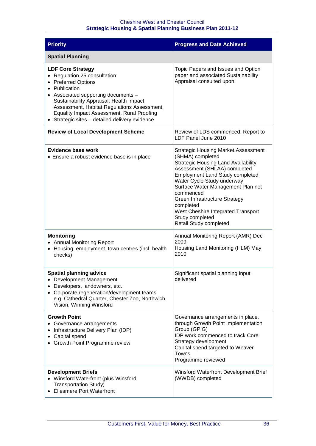| <b>Priority</b>                                                                                                                                                                                                                                                                                                                 | <b>Progress and Date Achieved</b>                                                                                                                                                                                                                                                                                                                                                                       |
|---------------------------------------------------------------------------------------------------------------------------------------------------------------------------------------------------------------------------------------------------------------------------------------------------------------------------------|---------------------------------------------------------------------------------------------------------------------------------------------------------------------------------------------------------------------------------------------------------------------------------------------------------------------------------------------------------------------------------------------------------|
| <b>Spatial Planning</b>                                                                                                                                                                                                                                                                                                         |                                                                                                                                                                                                                                                                                                                                                                                                         |
| <b>LDF Core Strategy</b><br>• Regulation 25 consultation<br>• Preferred Options<br>• Publication<br>• Associated supporting documents -<br>Sustainability Appraisal, Health Impact<br>Assessment, Habitat Regulations Assessment,<br>Equality Impact Assessment, Rural Proofing<br>Strategic sites - detailed delivery evidence | Topic Papers and Issues and Option<br>paper and associated Sustainability<br>Appraisal consulted upon                                                                                                                                                                                                                                                                                                   |
| <b>Review of Local Development Scheme</b>                                                                                                                                                                                                                                                                                       | Review of LDS commenced. Report to<br>LDF Panel June 2010                                                                                                                                                                                                                                                                                                                                               |
| Evidence base work<br>• Ensure a robust evidence base is in place                                                                                                                                                                                                                                                               | <b>Strategic Housing Market Assessment</b><br>(SHMA) completed<br><b>Strategic Housing Land Availability</b><br>Assessment (SHLAA) completed<br><b>Employment Land Study completed</b><br>Water Cycle Study underway<br>Surface Water Management Plan not<br>commenced<br>Green Infrastructure Strategy<br>completed<br>West Cheshire Integrated Transport<br>Study completed<br>Retail Study completed |
| <b>Monitoring</b><br><b>Annual Monitoring Report</b><br>٠<br>Housing, employment, town centres (incl. health<br>٠<br>checks)                                                                                                                                                                                                    | Annual Monitoring Report (AMR) Dec<br>2009<br>Housing Land Monitoring (HLM) May<br>2010                                                                                                                                                                                                                                                                                                                 |
| <b>Spatial planning advice</b><br>Development Management<br>Developers, landowners, etc.<br>Corporate regeneration/development teams<br>e.g. Cathedral Quarter, Chester Zoo, Northwich<br>Vision, Winning Winsford                                                                                                              | Significant spatial planning input<br>delivered                                                                                                                                                                                                                                                                                                                                                         |
| <b>Growth Point</b><br>Governance arrangements<br>Infrastructure Delivery Plan (IDP)<br>Capital spend<br>Growth Point Programme review                                                                                                                                                                                          | Governance arrangements in place,<br>through Growth Point Implementation<br>Group (GPIG)<br><b>IDP</b> work commenced to track Core<br>Strategy development<br>Capital spend targeted to Weaver<br>Towns<br>Programme reviewed                                                                                                                                                                          |
| <b>Development Briefs</b><br>Winsford Waterfront (plus Winsford<br><b>Transportation Study)</b><br><b>Ellesmere Port Waterfront</b>                                                                                                                                                                                             | Winsford Waterfront Development Brief<br>(WWDB) completed                                                                                                                                                                                                                                                                                                                                               |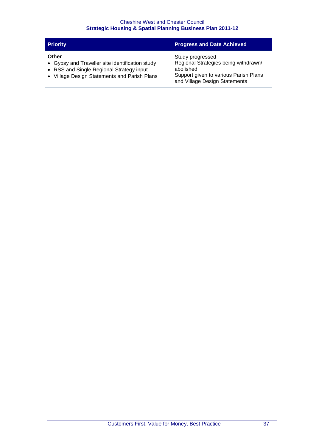| <b>Priority</b>                                 | <b>Progress and Date Achieved</b>     |
|-------------------------------------------------|---------------------------------------|
| Other                                           | Study progressed                      |
| • Gypsy and Traveller site identification study | Regional Strategies being withdrawn/  |
| • RSS and Single Regional Strategy input        | abolished                             |
| Village Design Statements and Parish Plans      | Support given to various Parish Plans |
| $\bullet$                                       | and Village Design Statements         |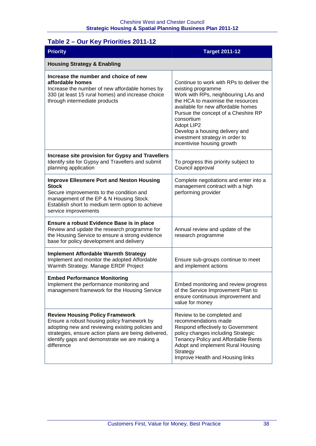| Table 2 - Our Key Priorities 2011-12                                                                                                                                                                                                                             |                                                                                                                                                                                                                                                                                                                                                        |  |
|------------------------------------------------------------------------------------------------------------------------------------------------------------------------------------------------------------------------------------------------------------------|--------------------------------------------------------------------------------------------------------------------------------------------------------------------------------------------------------------------------------------------------------------------------------------------------------------------------------------------------------|--|
| <b>Priority</b>                                                                                                                                                                                                                                                  | <b>Target 2011-12</b>                                                                                                                                                                                                                                                                                                                                  |  |
| <b>Housing Strategy &amp; Enabling</b>                                                                                                                                                                                                                           |                                                                                                                                                                                                                                                                                                                                                        |  |
| Increase the number and choice of new<br>affordable homes<br>Increase the number of new affordable homes by<br>330 (at least 15 rural homes) and increase choice<br>through intermediate products                                                                | Continue to work with RPs to deliver the<br>existing programme<br>Work with RPs, neighbouring LAs and<br>the HCA to maximise the resources<br>available for new affordable homes<br>Pursue the concept of a Cheshire RP<br>consortium<br>Adopt LIP2<br>Develop a housing delivery and<br>investment strategy in order to<br>incentivise housing growth |  |
| <b>Increase site provision for Gypsy and Travellers</b><br>Identify site for Gypsy and Travellers and submit<br>planning application                                                                                                                             | To progress this priority subject to<br>Council approval                                                                                                                                                                                                                                                                                               |  |
| <b>Improve Ellesmere Port and Neston Housing</b><br><b>Stock</b><br>Secure improvements to the condition and<br>management of the EP & N Housing Stock.<br>Establish short to medium term option to achieve<br>service improvements                              | Complete negotiations and enter into a<br>management contract with a high<br>performing provider                                                                                                                                                                                                                                                       |  |
| Ensure a robust Evidence Base is in place<br>Review and update the research programme for<br>the Housing Service to ensure a strong evidence<br>base for policy development and delivery                                                                         | Annual review and update of the<br>research programme                                                                                                                                                                                                                                                                                                  |  |
| <b>Implement Affordable Warmth Strategy</b><br>Implement and monitor the adopted Affordable<br>Warmth Strategy. Manage ERDF Project                                                                                                                              | Ensure sub-groups continue to meet<br>and implement actions                                                                                                                                                                                                                                                                                            |  |
| <b>Embed Performance Monitoring</b><br>Implement the performance monitoring and<br>management framework for the Housing Service                                                                                                                                  | Embed monitoring and review progress<br>of the Service Improvement Plan to<br>ensure continuous improvement and<br>value for money                                                                                                                                                                                                                     |  |
| <b>Review Housing Policy Framework</b><br>Ensure a robust housing policy framework by<br>adopting new and reviewing existing policies and<br>strategies, ensure action plans are being delivered,<br>identify gaps and demonstrate we are making a<br>difference | Review to be completed and<br>recommendations made<br>Respond effectively to Government<br>policy changes including Strategic<br>Tenancy Policy and Affordable Rents<br>Adopt and implement Rural Housing<br>Strategy<br>Improve Health and Housing links                                                                                              |  |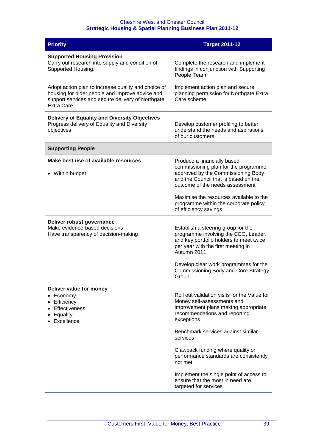| <b>Priority</b>                                                                                                                                                                  | <b>Target 2011-12</b>                                                                                                                                                                                                                                                                                                                                    |
|----------------------------------------------------------------------------------------------------------------------------------------------------------------------------------|----------------------------------------------------------------------------------------------------------------------------------------------------------------------------------------------------------------------------------------------------------------------------------------------------------------------------------------------------------|
| <b>Supported Housing Provision</b><br>Carry out research into supply and condition of<br>Supported Housing.                                                                      | Complete the research and implement<br>findings in conjunction with Supporting<br>People Team                                                                                                                                                                                                                                                            |
| Adopt action plan to increase quality and choice of<br>housing for older people and improve advice and<br>support services and secure delivery of Northgate<br><b>Extra Care</b> | Implement action plan and secure<br>planning permission for Northgate Extra<br>Care scheme                                                                                                                                                                                                                                                               |
| Delivery of Equality and Diversity Objectives<br>Progress delivery of Equality and Diversity<br>objectives                                                                       | Develop customer profiling to better<br>understand the needs and aspirations<br>of our customers                                                                                                                                                                                                                                                         |
| <b>Supporting People</b>                                                                                                                                                         |                                                                                                                                                                                                                                                                                                                                                          |
| Make best use of available resources<br>• Within budget                                                                                                                          | Produce a financially based<br>commissioning plan for the programme<br>approved by the Commissioning Body<br>and the Council that is based on the<br>outcome of the needs assessment<br>Maximise the resources available to the<br>programme within the corporate policy<br>of efficiency savings                                                        |
| Deliver robust governance<br>Make evidence-based decisions<br>Have transparency of decision-making                                                                               | Establish a steering group for the<br>programme involving the CEO, Leader,<br>and key portfolio holders to meet twice<br>per year with the first meeting in<br>Autumn 2011<br>Develop clear work programmes for the<br><b>Commissioning Body and Core Strategy</b><br>Group                                                                              |
| Deliver value for money<br>Economy<br>Efficiency<br><b>Effectiveness</b><br>Equality<br>Excellence                                                                               | Roll out validation visits for the Value for<br>Money self-assessments and<br>improvement plans making appropriate<br>recommendations and reporting<br>exceptions<br>Benchmark services against similar<br>services<br>Clawback funding where quality or<br>performance standards are consistently<br>not met<br>Implement the single point of access to |
|                                                                                                                                                                                  | ensure that the most in need are<br>targeted for services                                                                                                                                                                                                                                                                                                |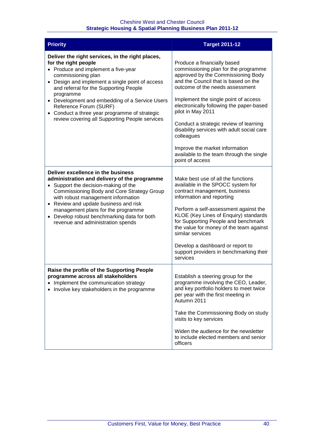| <b>Priority</b>                                                                                                                                                                                                                                                                                                                                                                                                                | <b>Target 2011-12</b>                                                                                                                                                                                                                                                                                                                                                                                                                                                                                |
|--------------------------------------------------------------------------------------------------------------------------------------------------------------------------------------------------------------------------------------------------------------------------------------------------------------------------------------------------------------------------------------------------------------------------------|------------------------------------------------------------------------------------------------------------------------------------------------------------------------------------------------------------------------------------------------------------------------------------------------------------------------------------------------------------------------------------------------------------------------------------------------------------------------------------------------------|
| Deliver the right services, in the right places,<br>for the right people<br>• Produce and implement a five-year<br>commissioning plan<br>• Design and implement a single point of access<br>and referral for the Supporting People<br>programme<br>• Development and embedding of a Service Users<br>Reference Forum (SURF)<br>• Conduct a three year programme of strategic<br>review covering all Supporting People services | Produce a financially based<br>commissioning plan for the programme<br>approved by the Commissioning Body<br>and the Council that is based on the<br>outcome of the needs assessment<br>Implement the single point of access<br>electronically following the paper-based<br>pilot in May 2011<br>Conduct a strategic review of learning<br>disability services with adult social care<br>colleagues<br>Improve the market information<br>available to the team through the single<br>point of access |
| Deliver excellence in the business<br>administration and delivery of the programme<br>• Support the decision-making of the<br>Commissioning Body and Core Strategy Group<br>with robust management information<br>• Review and update business and risk<br>management plans for the programme<br>• Develop robust benchmarking data for both<br>revenue and administration spends                                              | Make best use of all the functions<br>available in the SPOCC system for<br>contract management, business<br>information and reporting<br>Perform a self-assessment against the<br>KLOE (Key Lines of Enquiry) standards<br>for Supporting People and benchmark<br>the value for money of the team against<br>similar services<br>Develop a dashboard or report to<br>support providers in benchmarking their<br>services                                                                             |
| Raise the profile of the Supporting People<br>programme across all stakeholders<br>Implement the communication strategy<br>• Involve key stakeholders in the programme                                                                                                                                                                                                                                                         | Establish a steering group for the<br>programme involving the CEO, Leader,<br>and key portfolio holders to meet twice<br>per year with the first meeting in<br>Autumn 2011<br>Take the Commissioning Body on study<br>visits to key services<br>Widen the audience for the newsletter<br>to include elected members and senior<br>officers                                                                                                                                                           |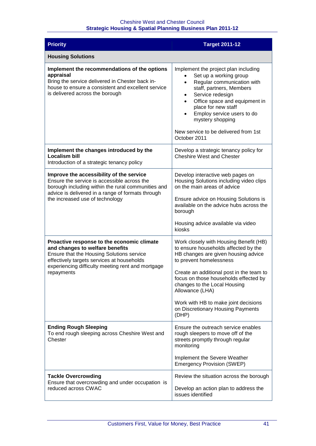| <b>Priority</b>                                                                                                                                                                                                                             | <b>Target 2011-12</b>                                                                                                                                                                                                                                                                                                                                              |
|---------------------------------------------------------------------------------------------------------------------------------------------------------------------------------------------------------------------------------------------|--------------------------------------------------------------------------------------------------------------------------------------------------------------------------------------------------------------------------------------------------------------------------------------------------------------------------------------------------------------------|
| <b>Housing Solutions</b>                                                                                                                                                                                                                    |                                                                                                                                                                                                                                                                                                                                                                    |
| Implement the recommendations of the options<br>appraisal<br>Bring the service delivered in Chester back in-<br>house to ensure a consistent and excellent service<br>is delivered across the borough                                       | Implement the project plan including<br>Set up a working group<br>Regular communication with<br>$\bullet$<br>staff, partners, Members<br>Service redesign<br>$\bullet$<br>Office space and equipment in<br>$\bullet$<br>place for new staff<br>Employ service users to do<br>$\bullet$<br>mystery shopping<br>New service to be delivered from 1st<br>October 2011 |
| Implement the changes introduced by the<br><b>Localism bill</b><br>Introduction of a strategic tenancy policy                                                                                                                               | Develop a strategic tenancy policy for<br><b>Cheshire West and Chester</b>                                                                                                                                                                                                                                                                                         |
| Improve the accessibility of the service<br>Ensure the service is accessible across the<br>borough including within the rural communities and<br>advice is delivered in a range of formats through<br>the increased use of technology       | Develop interactive web pages on<br>Housing Solutions including video clips<br>on the main areas of advice                                                                                                                                                                                                                                                         |
|                                                                                                                                                                                                                                             | Ensure advice on Housing Solutions is<br>available on the advice hubs across the<br>borough                                                                                                                                                                                                                                                                        |
|                                                                                                                                                                                                                                             | Housing advice available via video<br>kiosks                                                                                                                                                                                                                                                                                                                       |
| Proactive response to the economic climate<br>and changes to welfare benefits<br>Ensure that the Housing Solutions service<br>effectively targets services at households<br>experiencing difficulty meeting rent and mortgage<br>repayments | Work closely with Housing Benefit (HB)<br>to ensure households affected by the<br>HB changes are given housing advice<br>to prevent homelessness                                                                                                                                                                                                                   |
|                                                                                                                                                                                                                                             | Create an additional post in the team to<br>focus on those households effected by<br>changes to the Local Housing<br>Allowance (LHA)                                                                                                                                                                                                                               |
|                                                                                                                                                                                                                                             | Work with HB to make joint decisions<br>on Discretionary Housing Payments<br>(DHP)                                                                                                                                                                                                                                                                                 |
| <b>Ending Rough Sleeping</b><br>To end rough sleeping across Cheshire West and<br>Chester                                                                                                                                                   | Ensure the outreach service enables<br>rough sleepers to move off of the<br>streets promptly through regular<br>monitoring                                                                                                                                                                                                                                         |
|                                                                                                                                                                                                                                             | Implement the Severe Weather<br><b>Emergency Provision (SWEP)</b>                                                                                                                                                                                                                                                                                                  |
| <b>Tackle Overcrowding</b><br>Ensure that overcrowding and under occupation is                                                                                                                                                              | Review the situation across the borough                                                                                                                                                                                                                                                                                                                            |
| reduced across CWAC                                                                                                                                                                                                                         | Develop an action plan to address the<br>issues identified                                                                                                                                                                                                                                                                                                         |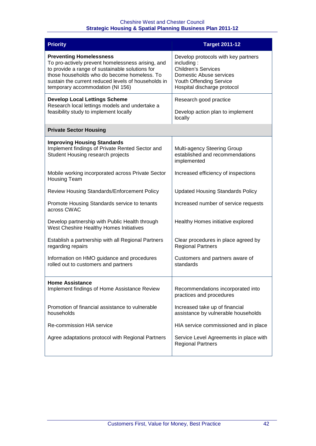| <b>Priority</b>                                                                                                                                                                                                                                                                  | <b>Target 2011-12</b>                                                                                                                                                |
|----------------------------------------------------------------------------------------------------------------------------------------------------------------------------------------------------------------------------------------------------------------------------------|----------------------------------------------------------------------------------------------------------------------------------------------------------------------|
| <b>Preventing Homelessness</b><br>To pro-actively prevent homelessness arising, and<br>to provide a range of sustainable solutions for<br>those households who do become homeless. To<br>sustain the current reduced levels of households in<br>temporary accommodation (NI 156) | Develop protocols with key partners<br>including:<br><b>Children's Services</b><br>Domestic Abuse services<br>Youth Offending Service<br>Hospital discharge protocol |
| <b>Develop Local Lettings Scheme</b><br>Research local lettings models and undertake a<br>feasibility study to implement locally                                                                                                                                                 | Research good practice<br>Develop action plan to implement<br>locally                                                                                                |
| <b>Private Sector Housing</b>                                                                                                                                                                                                                                                    |                                                                                                                                                                      |
| <b>Improving Housing Standards</b><br>Implement findings of Private Rented Sector and<br>Student Housing research projects                                                                                                                                                       | Multi-agency Steering Group<br>established and recommendations<br>implemented                                                                                        |
| Mobile working incorporated across Private Sector<br><b>Housing Team</b>                                                                                                                                                                                                         | Increased efficiency of inspections                                                                                                                                  |
| Review Housing Standards/Enforcement Policy                                                                                                                                                                                                                                      | <b>Updated Housing Standards Policy</b>                                                                                                                              |
| Promote Housing Standards service to tenants<br>across CWAC                                                                                                                                                                                                                      | Increased number of service requests                                                                                                                                 |
| Develop partnership with Public Health through<br>West Cheshire Healthy Homes Initiatives                                                                                                                                                                                        | Healthy Homes initiative explored                                                                                                                                    |
| Establish a partnership with all Regional Partners<br>regarding repairs                                                                                                                                                                                                          | Clear procedures in place agreed by<br><b>Regional Partners</b>                                                                                                      |
| Information on HMO guidance and procedures<br>rolled out to customers and partners                                                                                                                                                                                               | Customers and partners aware of<br>standards                                                                                                                         |
| <b>Home Assistance</b><br>Implement findings of Home Assistance Review                                                                                                                                                                                                           | Recommendations incorporated into<br>practices and procedures                                                                                                        |
| Promotion of financial assistance to vulnerable<br>households                                                                                                                                                                                                                    | Increased take up of financial<br>assistance by vulnerable households                                                                                                |
| Re-commission HIA service                                                                                                                                                                                                                                                        | HIA service commissioned and in place                                                                                                                                |
| Agree adaptations protocol with Regional Partners                                                                                                                                                                                                                                | Service Level Agreements in place with<br><b>Regional Partners</b>                                                                                                   |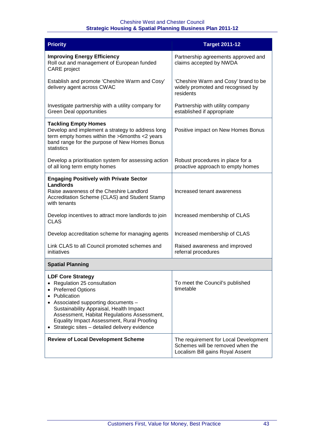| <b>Priority</b>                                                                                                                                                                                                                                                                                                                         | <b>Target 2011-12</b>                                                                                         |
|-----------------------------------------------------------------------------------------------------------------------------------------------------------------------------------------------------------------------------------------------------------------------------------------------------------------------------------------|---------------------------------------------------------------------------------------------------------------|
| <b>Improving Energy Efficiency</b><br>Roll out and management of European funded<br><b>CARE</b> project                                                                                                                                                                                                                                 | Partnership agreements approved and<br>claims accepted by NWDA                                                |
| Establish and promote 'Cheshire Warm and Cosy'<br>delivery agent across CWAC                                                                                                                                                                                                                                                            | 'Cheshire Warm and Cosy' brand to be<br>widely promoted and recognised by<br>residents                        |
| Investigate partnership with a utility company for<br><b>Green Deal opportunities</b>                                                                                                                                                                                                                                                   | Partnership with utility company<br>established if appropriate                                                |
| <b>Tackling Empty Homes</b><br>Develop and implement a strategy to address long<br>term empty homes within the >6months <2 years<br>band range for the purpose of New Homes Bonus<br>statistics                                                                                                                                         | Positive impact on New Homes Bonus                                                                            |
| Develop a prioritisation system for assessing action<br>of all long term empty homes                                                                                                                                                                                                                                                    | Robust procedures in place for a<br>proactive approach to empty homes                                         |
| <b>Engaging Positively with Private Sector</b><br><b>Landlords</b><br>Raise awareness of the Cheshire Landlord<br>Accreditation Scheme (CLAS) and Student Stamp<br>with tenants                                                                                                                                                         | Increased tenant awareness                                                                                    |
| Develop incentives to attract more landlords to join<br><b>CLAS</b>                                                                                                                                                                                                                                                                     | Increased membership of CLAS                                                                                  |
| Develop accreditation scheme for managing agents                                                                                                                                                                                                                                                                                        | Increased membership of CLAS                                                                                  |
| Link CLAS to all Council promoted schemes and<br>initiatives                                                                                                                                                                                                                                                                            | Raised awareness and improved<br>referral procedures                                                          |
| <b>Spatial Planning</b>                                                                                                                                                                                                                                                                                                                 |                                                                                                               |
| <b>LDF Core Strategy</b><br>Regulation 25 consultation<br><b>Preferred Options</b><br>Publication<br>• Associated supporting documents -<br>Sustainability Appraisal, Health Impact<br>Assessment, Habitat Regulations Assessment,<br><b>Equality Impact Assessment, Rural Proofing</b><br>Strategic sites - detailed delivery evidence | To meet the Council's published<br>timetable                                                                  |
| <b>Review of Local Development Scheme</b>                                                                                                                                                                                                                                                                                               | The requirement for Local Development<br>Schemes will be removed when the<br>Localism Bill gains Royal Assent |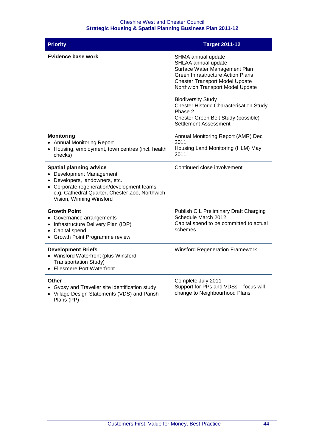| <b>Priority</b>                                                                                                                                                                                                          | <b>Target 2011-12</b>                                                                                                                                                                                                                                                                                                                                         |
|--------------------------------------------------------------------------------------------------------------------------------------------------------------------------------------------------------------------------|---------------------------------------------------------------------------------------------------------------------------------------------------------------------------------------------------------------------------------------------------------------------------------------------------------------------------------------------------------------|
| <b>Evidence base work</b>                                                                                                                                                                                                | SHMA annual update<br>SHLAA annual update<br>Surface Water Management Plan<br><b>Green Infrastructure Action Plans</b><br><b>Chester Transport Model Update</b><br>Northwich Transport Model Update<br><b>Biodiversity Study</b><br><b>Chester Historic Characterisation Study</b><br>Phase 2<br>Chester Green Belt Study (possible)<br>Settlement Assessment |
| <b>Monitoring</b><br>• Annual Monitoring Report<br>• Housing, employment, town centres (incl. health<br>checks)                                                                                                          | Annual Monitoring Report (AMR) Dec<br>2011<br>Housing Land Monitoring (HLM) May<br>2011                                                                                                                                                                                                                                                                       |
| <b>Spatial planning advice</b><br>• Development Management<br>• Developers, landowners, etc.<br>• Corporate regeneration/development teams<br>e.g. Cathedral Quarter, Chester Zoo, Northwich<br>Vision, Winning Winsford | Continued close involvement                                                                                                                                                                                                                                                                                                                                   |
| <b>Growth Point</b><br>• Governance arrangements<br>• Infrastructure Delivery Plan (IDP)<br>• Capital spend<br>• Growth Point Programme review                                                                           | Publish CIL Preliminary Draft Charging<br>Schedule March 2012<br>Capital spend to be committed to actual<br>schemes                                                                                                                                                                                                                                           |
| <b>Development Briefs</b><br>• Winsford Waterfront (plus Winsford<br><b>Transportation Study)</b><br>• Ellesmere Port Waterfront                                                                                         | <b>Winsford Regeneration Framework</b>                                                                                                                                                                                                                                                                                                                        |
| Other<br>• Gypsy and Traveller site identification study<br>• Village Design Statements (VDS) and Parish<br>Plans (PP)                                                                                                   | Complete July 2011<br>Support for PPs and VDSs - focus will<br>change to Neighbourhood Plans                                                                                                                                                                                                                                                                  |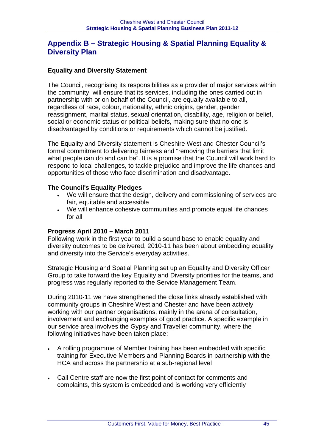#### **Appendix B – Strategic Housing & Spatial Planning Equality & Diversity Plan**

#### **Equality and Diversity Statement**

The Council, recognising its responsibilities as a provider of major services within the community, will ensure that its services, including the ones carried out in partnership with or on behalf of the Council, are equally available to all, regardless of race, colour, nationality, ethnic origins, gender, gender reassignment, marital status, sexual orientation, disability, age, religion or belief, social or economic status or political beliefs, making sure that no one is disadvantaged by conditions or requirements which cannot be justified.

The Equality and Diversity statement is Cheshire West and Chester Council's formal commitment to delivering fairness and "removing the barriers that limit what people can do and can be". It is a promise that the Council will work hard to respond to local challenges, to tackle prejudice and improve the life chances and opportunities of those who face discrimination and disadvantage.

#### **The Council's Equality Pledges**

- We will ensure that the design, delivery and commissioning of services are fair, equitable and accessible
- We will enhance cohesive communities and promote equal life chances for all

#### **Progress April 2010 – March 2011**

Following work in the first year to build a sound base to enable equality and diversity outcomes to be delivered, 2010-11 has been about embedding equality and diversity into the Service's everyday activities.

Strategic Housing and Spatial Planning set up an Equality and Diversity Officer Group to take forward the key Equality and Diversity priorities for the teams, and progress was regularly reported to the Service Management Team.

During 2010-11 we have strengthened the close links already established with community groups in Cheshire West and Chester and have been actively working with our partner organisations, mainly in the arena of consultation, involvement and exchanging examples of good practice. A specific example in our service area involves the Gypsy and Traveller community, where the following initiatives have been taken place:

- A rolling programme of Member training has been embedded with specific training for Executive Members and Planning Boards in partnership with the HCA and across the partnership at a sub-regional level
- Call Centre staff are now the first point of contact for comments and complaints, this system is embedded and is working very efficiently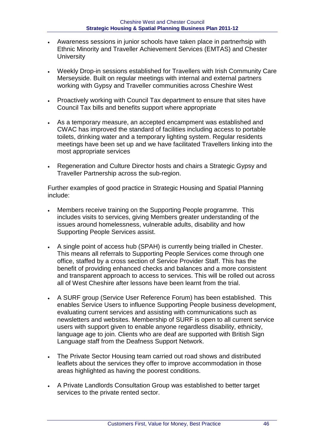- Awareness sessions in junior schools have taken place in partnerhsip with Ethnic Minority and Traveller Achievement Services (EMTAS) and Chester **University**
- Weekly Drop-in sessions established for Travellers with Irish Community Care Merseyside. Built on regular meetings with internal and external partners working with Gypsy and Traveller communities across Cheshire West
- Proactively working with Council Tax department to ensure that sites have Council Tax bills and benefits support where appropriate
- As a temporary measure, an accepted encampment was established and CWAC has improved the standard of facilities including access to portable toilets, drinking water and a temporary lighting system. Regular residents meetings have been set up and we have facilitated Travellers linking into the most appropriate services
- Regeneration and Culture Director hosts and chairs a Strategic Gypsy and Traveller Partnership across the sub-region.

Further examples of good practice in Strategic Housing and Spatial Planning include:

- Members receive training on the Supporting People programme. This includes visits to services, giving Members greater understanding of the issues around homelessness, vulnerable adults, disability and how Supporting People Services assist.
- A single point of access hub (SPAH) is currently being trialled in Chester. This means all referrals to Supporting People Services come through one office, staffed by a cross section of Service Provider Staff. This has the benefit of providing enhanced checks and balances and a more consistent and transparent approach to access to services. This will be rolled out across all of West Cheshire after lessons have been learnt from the trial.
- A SURF group (Service User Reference Forum) has been established. This enables Service Users to influence Supporting People business development, evaluating current services and assisting with communications such as newsletters and websites. Membership of SURF is open to all current service users with support given to enable anyone regardless disability, ethnicity, language age to join. Clients who are deaf are supported with British Sign Language staff from the Deafness Support Network.
- The Private Sector Housing team carried out road shows and distributed leaflets about the services they offer to improve accommodation in those areas highlighted as having the poorest conditions.
- A Private Landlords Consultation Group was established to better target services to the private rented sector.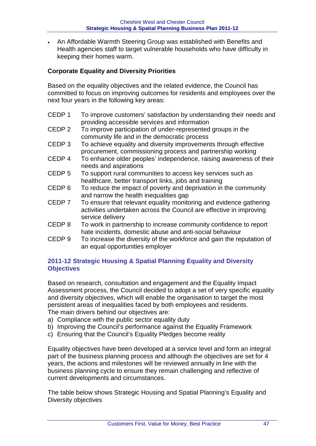• An Affordable Warmth Steering Group was established with Benefits and Health agencies staff to target vulnerable households who have difficulty in keeping their homes warm.

#### **Corporate Equality and Diversity Priorities**

Based on the equality objectives and the related evidence, the Council has committed to focus on improving outcomes for residents and employees over the next four years in the following key areas:

- CEDP 1 To improve customers' satisfaction by understanding their needs and providing accessible services and information
- CEDP 2 To improve participation of under-represented groups in the community life and in the democratic process
- CEDP 3 To achieve equality and diversity improvements through effective procurement, commissioning process and partnership working
- CEDP 4 To enhance older peoples' independence, raising awareness of their needs and aspirations
- CEDP 5 To support rural communities to access key services such as healthcare, better transport links, jobs and training
- CEDP 6 To reduce the impact of poverty and deprivation in the community and narrow the health inequalities gap
- CEDP 7 To ensure that relevant equality monitoring and evidence gathering activities undertaken across the Council are effective in improving service delivery
- CEDP 8 To work in partnership to increase community confidence to report hate incidents, domestic abuse and anti-social behaviour
- CEDP 9 To increase the diversity of the workforce and gain the reputation of an equal opportunities employer

#### **2011-12 Strategic Housing & Spatial Planning Equality and Diversity Objectives**

Based on research, consultation and engagement and the Equality Impact Assessment process, the Council decided to adopt a set of very specific equality and diversity objectives, which will enable the organisation to target the most persistent areas of inequalities faced by both employees and residents. The main drivers behind our objectives are:

- a) Compliance with the public sector equality duty
- b) Improving the Council's performance against the Equality Framework
- c) Ensuring that the Council's Equality Pledges become reality

Equality objectives have been developed at a service level and form an integral part of the business planning process and although the objectives are set for 4 years, the actions and milestones will be reviewed annually in line with the business planning cycle to ensure they remain challenging and reflective of current developments and circumstances.

The table below shows Strategic Housing and Spatial Planning's Equality and Diversity objectives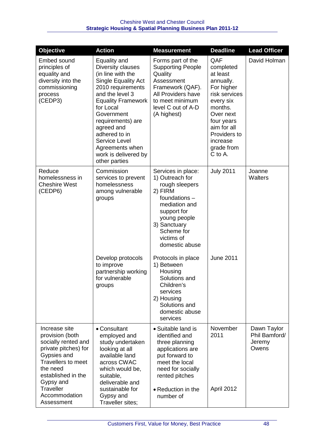| <b>Objective</b>                                                                                                                                                                               | <b>Action</b>                                                                                                                                                                                                                                                                                                  | <b>Measurement</b>                                                                                                                                                                                | <b>Deadline</b>                                                                                                                                                                                 | <b>Lead Officer</b>                             |
|------------------------------------------------------------------------------------------------------------------------------------------------------------------------------------------------|----------------------------------------------------------------------------------------------------------------------------------------------------------------------------------------------------------------------------------------------------------------------------------------------------------------|---------------------------------------------------------------------------------------------------------------------------------------------------------------------------------------------------|-------------------------------------------------------------------------------------------------------------------------------------------------------------------------------------------------|-------------------------------------------------|
| Embed sound<br>principles of<br>equality and<br>diversity into the<br>commissioning<br>process<br>(CEDP3)                                                                                      | Equality and<br>Diversity clauses<br>(in line with the<br>Single Equality Act<br>2010 requirements<br>and the level 3<br><b>Equality Framework</b><br>for Local<br>Government<br>requirements) are<br>agreed and<br>adhered to in<br>Service Level<br>Agreements when<br>work is delivered by<br>other parties | Forms part of the<br><b>Supporting People</b><br>Quality<br>Assessment<br>Framework (QAF).<br>All Providers have<br>to meet minimum<br>level C out of A-D<br>(A highest)                          | QAF<br>completed<br>at least<br>annually.<br>For higher<br>risk services<br>every six<br>months.<br>Over next<br>four years<br>aim for all<br>Providers to<br>increase<br>grade from<br>C to A. | David Holman                                    |
| Reduce<br>homelessness in<br><b>Cheshire West</b><br>(CEDP6)                                                                                                                                   | Commission<br>services to prevent<br>homelessness<br>among vulnerable<br>groups                                                                                                                                                                                                                                | Services in place:<br>1) Outreach for<br>rough sleepers<br>2) FIRM<br>foundations -<br>mediation and<br>support for<br>young people<br>3) Sanctuary<br>Scheme for<br>victims of<br>domestic abuse | <b>July 2011</b>                                                                                                                                                                                | Joanne<br>Walters                               |
|                                                                                                                                                                                                | Develop protocols<br>to improve<br>partnership working<br>for vulnerable<br>groups                                                                                                                                                                                                                             | Protocols in place<br>1) Between<br>Housing<br>Solutions and<br>Children's<br>services<br>2) Housing<br>Solutions and<br>domestic abuse<br>services                                               | <b>June 2011</b>                                                                                                                                                                                |                                                 |
| Increase site<br>provision (both<br>socially rented and<br>private pitches) for<br>Gypsies and<br><b>Travellers to meet</b><br>the need<br>established in the<br>Gypsy and<br><b>Traveller</b> | • Consultant<br>employed and<br>study undertaken<br>looking at all<br>available land<br>across CWAC<br>which would be,<br>suitable,<br>deliverable and<br>sustainable for                                                                                                                                      | • Suitable land is<br>identified and<br>three planning<br>applications are<br>put forward to<br>meet the local<br>need for socially<br>rented pitches<br>• Reduction in the                       | November<br>2011<br>April 2012                                                                                                                                                                  | Dawn Taylor<br>Phil Bamford/<br>Jeremy<br>Owens |
| Accommodation<br>Assessment                                                                                                                                                                    | Gypsy and<br>Traveller sites;                                                                                                                                                                                                                                                                                  | number of                                                                                                                                                                                         |                                                                                                                                                                                                 |                                                 |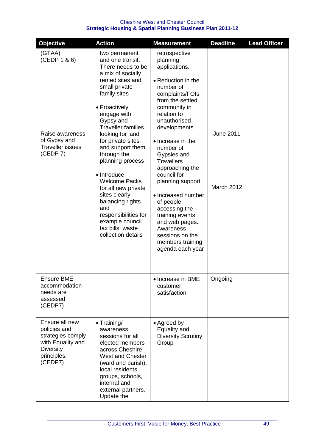| <b>Objective</b>                                                                                                       | <b>Action</b>                                                                                                                                                                                                                                                                                                                                                                                                                                                                                             | <b>Measurement</b>                                                                                                                                                                                                                                                                                                                                                                                                                                                                | <b>Deadline</b>                | <b>Lead Officer</b> |
|------------------------------------------------------------------------------------------------------------------------|-----------------------------------------------------------------------------------------------------------------------------------------------------------------------------------------------------------------------------------------------------------------------------------------------------------------------------------------------------------------------------------------------------------------------------------------------------------------------------------------------------------|-----------------------------------------------------------------------------------------------------------------------------------------------------------------------------------------------------------------------------------------------------------------------------------------------------------------------------------------------------------------------------------------------------------------------------------------------------------------------------------|--------------------------------|---------------------|
| (GTAA)<br>(CEDP 1 & 6)<br>Raise awareness<br>of Gypsy and<br><b>Traveller issues</b><br>(CEDP 7)                       | two permanent<br>and one transit.<br>There needs to be<br>a mix of socially<br>rented sites and<br>small private<br>family sites<br>• Proactively<br>engage with<br>Gypsy and<br><b>Traveller families</b><br>looking for land<br>for private sites<br>and support them<br>through the<br>planning process<br>• Introduce<br><b>Welcome Packs</b><br>for all new private<br>sites clearly<br>balancing rights<br>and<br>responsibilities for<br>example council<br>tax bills, waste<br>collection details | retrospective<br>planning<br>applications.<br>• Reduction in the<br>number of<br>complaints/FOIs<br>from the settled<br>community in<br>relation to<br>unauthorised<br>developments.<br>• Increase in the<br>number of<br>Gypsies and<br><b>Travellers</b><br>approaching the<br>council for<br>planning support<br>• Increased number<br>of people<br>accessing the<br>training events<br>and web pages.<br>Awareness<br>sessions on the<br>members training<br>agenda each year | <b>June 2011</b><br>March 2012 |                     |
| <b>Ensure BME</b><br>accommodation<br>needs are<br>assessed<br>(CEDP7)                                                 |                                                                                                                                                                                                                                                                                                                                                                                                                                                                                                           | • Increase in BME<br>customer<br>satisfaction                                                                                                                                                                                                                                                                                                                                                                                                                                     | Ongoing                        |                     |
| Ensure all new<br>policies and<br>strategies comply<br>with Equality and<br><b>Diversity</b><br>principles.<br>(CEDP7) | • Training/<br>awareness<br>sessions for all<br>elected members<br>across Cheshire<br><b>West and Chester</b><br>(ward and parish),<br>local residents<br>groups, schools,<br>internal and<br>external partners.<br>Update the                                                                                                                                                                                                                                                                            | • Agreed by<br>Equality and<br><b>Diversity Scrutiny</b><br>Group                                                                                                                                                                                                                                                                                                                                                                                                                 |                                |                     |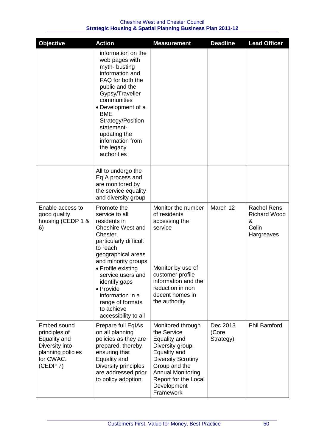| <b>Objective</b>                                                                                             | <b>Action</b>                                                                                                                                                                                                                                                                                                                   | <b>Measurement</b>                                                                                                                                                                                                 | <b>Deadline</b>                | <b>Lead Officer</b>                                             |
|--------------------------------------------------------------------------------------------------------------|---------------------------------------------------------------------------------------------------------------------------------------------------------------------------------------------------------------------------------------------------------------------------------------------------------------------------------|--------------------------------------------------------------------------------------------------------------------------------------------------------------------------------------------------------------------|--------------------------------|-----------------------------------------------------------------|
|                                                                                                              | information on the<br>web pages with<br>myth-busting<br>information and<br>FAQ for both the<br>public and the<br>Gypsy/Traveller<br>communities<br>• Development of a<br><b>BME</b><br>Strategy/Position<br>statement-<br>updating the<br>information from<br>the legacy<br>authorities                                         |                                                                                                                                                                                                                    |                                |                                                                 |
|                                                                                                              | All to undergo the<br>EqIA process and<br>are monitored by<br>the service equality<br>and diversity group                                                                                                                                                                                                                       |                                                                                                                                                                                                                    |                                |                                                                 |
| Enable access to<br>good quality<br>housing (CEDP 1 &<br>6)                                                  | Promote the<br>service to all<br>residents in<br><b>Cheshire West and</b><br>Chester,<br>particularly difficult<br>to reach<br>geographical areas<br>and minority groups<br>• Profile existing<br>service users and<br>identify gaps<br>• Provide<br>information in a<br>range of formats<br>to achieve<br>accessibility to all | Monitor the number<br>of residents<br>accessing the<br>service<br>Monitor by use of<br>customer profile<br>information and the<br>reduction in non<br>decent homes in<br>the authority                             | March 12                       | Rachel Rens,<br><b>Richard Wood</b><br>&<br>Colin<br>Hargreaves |
| Embed sound<br>principles of<br>Equality and<br>Diversity into<br>planning policies<br>for CWAC.<br>(CEDP 7) | Prepare full EqIAs<br>on all planning<br>policies as they are<br>prepared, thereby<br>ensuring that<br>Equality and<br>Diversity principles<br>are addressed prior<br>to policy adoption.                                                                                                                                       | Monitored through<br>the Service<br>Equality and<br>Diversity group,<br>Equality and<br><b>Diversity Scrutiny</b><br>Group and the<br><b>Annual Monitoring</b><br>Report for the Local<br>Development<br>Framework | Dec 2013<br>(Core<br>Strategy) | <b>Phil Bamford</b>                                             |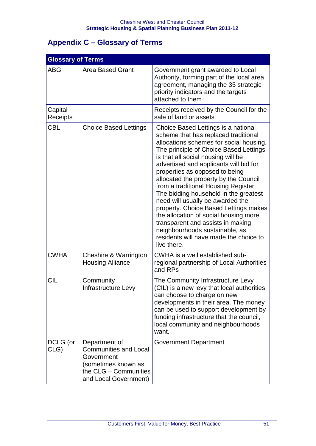# **Appendix C – Glossary of Terms**

| <b>Glossary of Terms</b> |                                                                                                                                      |                                                                                                                                                                                                                                                                                                                                                                                                                                                                                                                                                                                                                                                                    |
|--------------------------|--------------------------------------------------------------------------------------------------------------------------------------|--------------------------------------------------------------------------------------------------------------------------------------------------------------------------------------------------------------------------------------------------------------------------------------------------------------------------------------------------------------------------------------------------------------------------------------------------------------------------------------------------------------------------------------------------------------------------------------------------------------------------------------------------------------------|
| <b>ABG</b>               | <b>Area Based Grant</b>                                                                                                              | Government grant awarded to Local<br>Authority, forming part of the local area<br>agreement, managing the 35 strategic<br>priority indicators and the targets<br>attached to them                                                                                                                                                                                                                                                                                                                                                                                                                                                                                  |
| Capital<br>Receipts      |                                                                                                                                      | Receipts received by the Council for the<br>sale of land or assets                                                                                                                                                                                                                                                                                                                                                                                                                                                                                                                                                                                                 |
| <b>CBL</b>               | <b>Choice Based Lettings</b>                                                                                                         | Choice Based Lettings is a national<br>scheme that has replaced traditional<br>allocations schemes for social housing.<br>The principle of Choice Based Lettings<br>is that all social housing will be<br>advertised and applicants will bid for<br>properties as opposed to being<br>allocated the property by the Council<br>from a traditional Housing Register.<br>The bidding household in the greatest<br>need will usually be awarded the<br>property. Choice Based Lettings makes<br>the allocation of social housing more<br>transparent and assists in making<br>neighbourhoods sustainable, as<br>residents will have made the choice to<br>live there. |
| <b>CWHA</b>              | Cheshire & Warrington<br><b>Housing Alliance</b>                                                                                     | CWHA is a well established sub-<br>regional partnership of Local Authorities<br>and RPs                                                                                                                                                                                                                                                                                                                                                                                                                                                                                                                                                                            |
| <b>CIL</b>               | Community<br>Infrastructure Levy                                                                                                     | The Community Infrastructure Levy<br>(CIL) is a new levy that local authorities<br>can choose to charge on new<br>developments in their area. The money<br>can be used to support development by<br>funding infrastructure that the council,<br>local community and neighbourhoods<br>want.                                                                                                                                                                                                                                                                                                                                                                        |
| DCLG (or<br>CLG)         | Department of<br><b>Communities and Local</b><br>Government<br>(sometimes known as<br>the CLG - Communities<br>and Local Government) | <b>Government Department</b>                                                                                                                                                                                                                                                                                                                                                                                                                                                                                                                                                                                                                                       |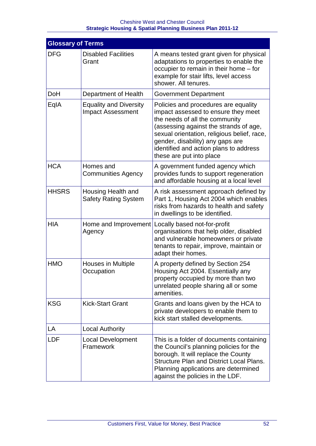| <b>Glossary of Terms</b> |                                                           |                                                                                                                                                                                                                                                                                                                  |
|--------------------------|-----------------------------------------------------------|------------------------------------------------------------------------------------------------------------------------------------------------------------------------------------------------------------------------------------------------------------------------------------------------------------------|
| <b>DFG</b>               | <b>Disabled Facilities</b><br>Grant                       | A means tested grant given for physical<br>adaptations to properties to enable the<br>occupier to remain in their home - for<br>example for stair lifts, level access<br>shower. All tenures.                                                                                                                    |
| <b>DoH</b>               | Department of Health                                      | <b>Government Department</b>                                                                                                                                                                                                                                                                                     |
| EqIA                     | <b>Equality and Diversity</b><br><b>Impact Assessment</b> | Policies and procedures are equality<br>impact assessed to ensure they meet<br>the needs of all the community<br>(assessing against the strands of age,<br>sexual orientation, religious belief, race,<br>gender, disability) any gaps are<br>identified and action plans to address<br>these are put into place |
| <b>HCA</b>               | Homes and<br><b>Communities Agency</b>                    | A government funded agency which<br>provides funds to support regeneration<br>and affordable housing at a local level                                                                                                                                                                                            |
| <b>HHSRS</b>             | Housing Health and<br><b>Safety Rating System</b>         | A risk assessment approach defined by<br>Part 1, Housing Act 2004 which enables<br>risks from hazards to health and safety<br>in dwellings to be identified.                                                                                                                                                     |
| <b>HIA</b>               | Home and Improvement<br>Agency                            | Locally based not-for-profit<br>organisations that help older, disabled<br>and vulnerable homeowners or private<br>tenants to repair, improve, maintain or<br>adapt their homes.                                                                                                                                 |
| <b>HMO</b>               | <b>Houses in Multiple</b><br>Occupation                   | A property defined by Section 254<br>Housing Act 2004. Essentially any<br>property occupied by more than two<br>unrelated people sharing all or some<br>amenities.                                                                                                                                               |
| <b>KSG</b>               | <b>Kick-Start Grant</b>                                   | Grants and loans given by the HCA to<br>private developers to enable them to<br>kick start stalled developments.                                                                                                                                                                                                 |
| LA                       | <b>Local Authority</b>                                    |                                                                                                                                                                                                                                                                                                                  |
| <b>LDF</b>               | <b>Local Development</b><br>Framework                     | This is a folder of documents containing<br>the Council's planning policies for the<br>borough. It will replace the County<br><b>Structure Plan and District Local Plans.</b><br>Planning applications are determined<br>against the policies in the LDF.                                                        |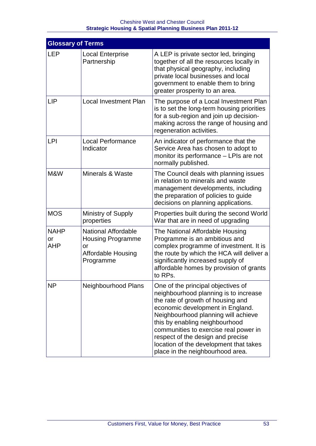| <b>Glossary of Terms</b> |                                                                                                        |                                                                                                                                                                                                                                                                                                                                                                                           |
|--------------------------|--------------------------------------------------------------------------------------------------------|-------------------------------------------------------------------------------------------------------------------------------------------------------------------------------------------------------------------------------------------------------------------------------------------------------------------------------------------------------------------------------------------|
| <b>LEP</b>               | <b>Local Enterprise</b><br>Partnership                                                                 | A LEP is private sector led, bringing<br>together of all the resources locally in<br>that physical geography, including<br>private local businesses and local<br>government to enable them to bring<br>greater prosperity to an area.                                                                                                                                                     |
| <b>LIP</b>               | <b>Local Investment Plan</b>                                                                           | The purpose of a Local Investment Plan<br>is to set the long-term housing priorities<br>for a sub-region and join up decision-<br>making across the range of housing and<br>regeneration activities.                                                                                                                                                                                      |
| <b>LPI</b>               | <b>Local Performance</b><br>Indicator                                                                  | An indicator of performance that the<br>Service Area has chosen to adopt to<br>monitor its performance - LPIs are not<br>normally published.                                                                                                                                                                                                                                              |
| M&W                      | <b>Minerals &amp; Waste</b>                                                                            | The Council deals with planning issues<br>in relation to minerals and waste<br>management developments, including<br>the preparation of policies to guide<br>decisions on planning applications.                                                                                                                                                                                          |
| <b>MOS</b>               | <b>Ministry of Supply</b><br>properties                                                                | Properties built during the second World<br>War that are in need of upgrading                                                                                                                                                                                                                                                                                                             |
| <b>NAHP</b><br>or<br>AHP | <b>National Affordable</b><br><b>Housing Programme</b><br>or<br><b>Affordable Housing</b><br>Programme | The National Affordable Housing<br>Programme is an ambitious and<br>complex programme of investment. It is<br>the route by which the HCA will deliver a<br>significantly increased supply of<br>affordable homes by provision of grants<br>to RPs.                                                                                                                                        |
| ΝP                       | Neighbourhood Plans                                                                                    | One of the principal objectives of<br>neighbourhood planning is to increase<br>the rate of growth of housing and<br>economic development in England.<br>Neighbourhood planning will achieve<br>this by enabling neighbourhood<br>communities to exercise real power in<br>respect of the design and precise<br>location of the development that takes<br>place in the neighbourhood area. |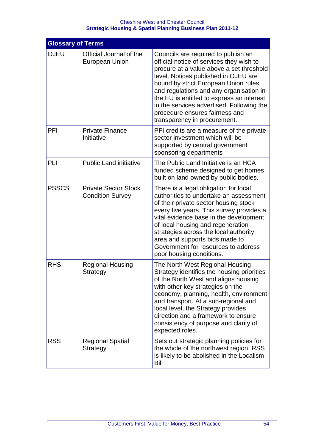| <b>Glossary of Terms</b> |                                                        |                                                                                                                                                                                                                                                                                                                                                                                                                    |
|--------------------------|--------------------------------------------------------|--------------------------------------------------------------------------------------------------------------------------------------------------------------------------------------------------------------------------------------------------------------------------------------------------------------------------------------------------------------------------------------------------------------------|
| <b>OJEU</b>              | Official Journal of the<br><b>European Union</b>       | Councils are required to publish an<br>official notice of services they wish to<br>procure at a value above a set threshold<br>level. Notices published in OJEU are<br>bound by strict European Union rules<br>and regulations and any organisation in<br>the EU is entitled to express an interest<br>in the services advertised. Following the<br>procedure ensures fairness and<br>transparency in procurement. |
| PFI                      | <b>Private Finance</b><br>Initiative                   | PFI credits are a measure of the private<br>sector investment which will be<br>supported by central government<br>sponsoring departments                                                                                                                                                                                                                                                                           |
| PLI                      | <b>Public Land initiative</b>                          | The Public Land Initiative is an HCA<br>funded scheme designed to get homes<br>built on land owned by public bodies.                                                                                                                                                                                                                                                                                               |
| <b>PSSCS</b>             | <b>Private Sector Stock</b><br><b>Condition Survey</b> | There is a legal obligation for local<br>authorities to undertake an assessment<br>of their private sector housing stock<br>every five years. This survey provides a<br>vital evidence base in the development<br>of local housing and regeneration<br>strategies across the local authority<br>area and supports bids made to<br>Government for resources to address<br>poor housing conditions.                  |
| <b>RHS</b>               | <b>Regional Housing</b><br>Strategy                    | The North West Regional Housing<br>Strategy identifies the housing priorities<br>of the North West and aligns housing<br>with other key strategies on the<br>economy, planning, health, environment<br>and transport. At a sub-regional and<br>local level, the Strategy provides<br>direction and a framework to ensure<br>consistency of purpose and clarity of<br>expected roles.                               |
| <b>RSS</b>               | <b>Regional Spatial</b><br>Strategy                    | Sets out strategic planning policies for<br>the whole of the northwest region. RSS<br>is likely to be abolished in the Localism<br>Bill                                                                                                                                                                                                                                                                            |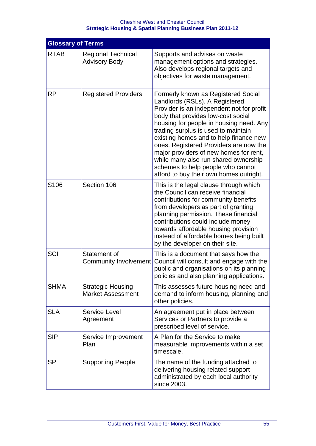| <b>Glossary of Terms</b> |                                                      |                                                                                                                                                                                                                                                                                                                                                                                                                                                                                                  |
|--------------------------|------------------------------------------------------|--------------------------------------------------------------------------------------------------------------------------------------------------------------------------------------------------------------------------------------------------------------------------------------------------------------------------------------------------------------------------------------------------------------------------------------------------------------------------------------------------|
| <b>RTAB</b>              | <b>Regional Technical</b><br><b>Advisory Body</b>    | Supports and advises on waste<br>management options and strategies.<br>Also develops regional targets and<br>objectives for waste management.                                                                                                                                                                                                                                                                                                                                                    |
| <b>RP</b>                | <b>Registered Providers</b>                          | Formerly known as Registered Social<br>Landlords (RSLs). A Registered<br>Provider is an independent not for profit<br>body that provides low-cost social<br>housing for people in housing need. Any<br>trading surplus is used to maintain<br>existing homes and to help finance new<br>ones. Registered Providers are now the<br>major providers of new homes for rent,<br>while many also run shared ownership<br>schemes to help people who cannot<br>afford to buy their own homes outright. |
| S <sub>106</sub>         | Section 106                                          | This is the legal clause through which<br>the Council can receive financial<br>contributions for community benefits<br>from developers as part of granting<br>planning permission. These financial<br>contributions could include money<br>towards affordable housing provision<br>instead of affordable homes being built<br>by the developer on their site.                                                                                                                                    |
| SCI                      | Statement of<br>Community Involvement                | This is a document that says how the<br>Council will consult and engage with the<br>public and organisations on its planning<br>policies and also planning applications.                                                                                                                                                                                                                                                                                                                         |
| <b>SHMA</b>              | <b>Strategic Housing</b><br><b>Market Assessment</b> | This assesses future housing need and<br>demand to inform housing, planning and<br>other policies.                                                                                                                                                                                                                                                                                                                                                                                               |
| <b>SLA</b>               | <b>Service Level</b><br>Agreement                    | An agreement put in place between<br>Services or Partners to provide a<br>prescribed level of service.                                                                                                                                                                                                                                                                                                                                                                                           |
| <b>SIP</b>               | Service Improvement<br>Plan                          | A Plan for the Service to make<br>measurable improvements within a set<br>timescale.                                                                                                                                                                                                                                                                                                                                                                                                             |
| <b>SP</b>                | <b>Supporting People</b>                             | The name of the funding attached to<br>delivering housing related support<br>administrated by each local authority<br>since 2003.                                                                                                                                                                                                                                                                                                                                                                |